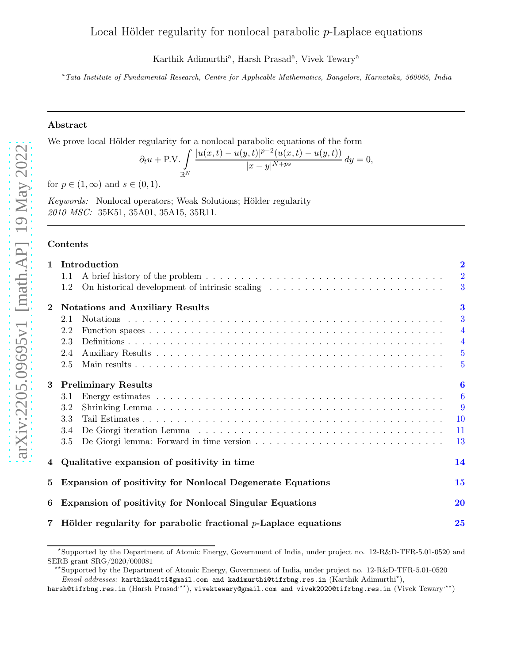# Local Hölder regularity for nonlocal parabolic  $p$ -Laplace equations

Karthik Adimurthi<sup>a</sup>, Harsh Prasad<sup>a</sup>, Vivek Tewary<sup>a</sup>

<sup>a</sup>Tata Institute of Fundamental Research, Centre for Applicable Mathematics, Bangalore, Karnataka, 560065, India

## Abstract

We prove local Hölder regularity for a nonlocal parabolic equations of the form

$$
\partial_t u + \text{P.V.} \int_{\mathbb{R}^N} \frac{|u(x,t) - u(y,t)|^{p-2} (u(x,t) - u(y,t))}{|x - y|^{N+ps}} \, dy = 0,
$$

for  $p \in (1,\infty)$  and  $s \in (0,1)$ .

Keywords: Nonlocal operators; Weak Solutions; Hölder regularity 2010 MSC: 35K51, 35A01, 35A15, 35R11.

# Contents

| $\mathbf{1}$   | Introduction                                                            | $\overline{2}$ |  |  |
|----------------|-------------------------------------------------------------------------|----------------|--|--|
|                | 1.1                                                                     | $\overline{2}$ |  |  |
|                | On historical development of intrinsic scaling<br>1.2                   | 3              |  |  |
| $\bf{2}$       | <b>Notations and Auxiliary Results</b>                                  | $\bf{3}$       |  |  |
|                | 2.1                                                                     | 3              |  |  |
|                | 2.2                                                                     | $\overline{4}$ |  |  |
|                | 2.3                                                                     | $\overline{4}$ |  |  |
|                | 2.4                                                                     | $\overline{5}$ |  |  |
|                | 2.5                                                                     | $\overline{5}$ |  |  |
| 3              | <b>Preliminary Results</b>                                              | 6              |  |  |
|                | 3.1                                                                     | $\overline{6}$ |  |  |
|                | 3.2                                                                     | 9              |  |  |
|                | 3.3                                                                     | <b>10</b>      |  |  |
|                | 3.4                                                                     | 11             |  |  |
|                | 3.5                                                                     | 13             |  |  |
| 4              | Qualitative expansion of positivity in time                             | 14             |  |  |
| 5              | <b>Expansion of positivity for Nonlocal Degenerate Equations</b>        | 15             |  |  |
| 6              | Expansion of positivity for Nonlocal Singular Equations<br>20           |                |  |  |
| $\overline{7}$ | Hölder regularity for parabolic fractional $p$ -Laplace equations<br>25 |                |  |  |

<sup>⋆</sup> Supported by the Department of Atomic Energy, Government of India, under project no. 12-R&D-TFR-5.01-0520 and SERB grant SRG/2020/000081

<sup>⋆⋆</sup>Supported by the Department of Atomic Energy, Government of India, under project no. 12-R&D-TFR-5.01-0520 *Email addresses*: karthikaditi@gmail.com and kadimurthi@tifrbng.res.in (Karthik Adimurthi<sup>\*</sup>),

harsh@tifrbng.res.in (Harsh Prasad<sup>,\*\*</sup>), vivektewary@gmail.com and vivek2020@tifrbng.res.in (Vivek Tewary<sup>,\*\*</sup>)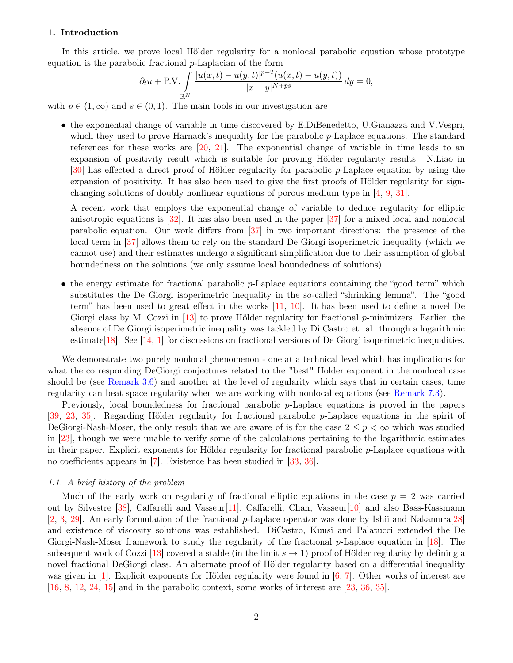# <span id="page-1-2"></span><span id="page-1-0"></span>1. Introduction

In this article, we prove local Hölder regularity for a nonlocal parabolic equation whose prototype equation is the parabolic fractional p-Laplacian of the form

$$
\partial_t u + \text{P.V.} \int_{\mathbb{R}^N} \frac{|u(x,t) - u(y,t)|^{p-2} (u(x,t) - u(y,t))}{|x - y|^{N+ps}} \, dy = 0,
$$

with  $p \in (1,\infty)$  and  $s \in (0,1)$ . The main tools in our investigation are

• the exponential change of variable in time discovered by E.DiBenedetto, U.Gianazza and V.Vespri, which they used to prove Harnack's inequality for the parabolic p-Laplace equations. The standard references for these works are [\[20](#page-29-0), [21](#page-29-1)]. The exponential change of variable in time leads to an expansion of positivity result which is suitable for proving Hölder regularity results. N.Liao in [\[30\]](#page-30-0) has effected a direct proof of Hölder regularity for parabolic p-Laplace equation by using the expansion of positivity. It has also been used to give the first proofs of Hölder regularity for signchanging solutions of doubly nonlinear equations of porous medium type in [\[4,](#page-28-0) [9,](#page-28-1) [31](#page-30-1)].

A recent work that employs the exponential change of variable to deduce regularity for elliptic anisotropic equations is [\[32](#page-30-2)]. It has also been used in the paper [\[37](#page-30-3)] for a mixed local and nonlocal parabolic equation. Our work differs from [\[37](#page-30-3)] in two important directions: the presence of the local term in [\[37](#page-30-3)] allows them to rely on the standard De Giorgi isoperimetric inequality (which we cannot use) and their estimates undergo a significant simplification due to their assumption of global boundedness on the solutions (we only assume local boundedness of solutions).

• the energy estimate for fractional parabolic  $p$ -Laplace equations containing the "good term" which substitutes the De Giorgi isoperimetric inequality in the so-called "shrinking lemma". The "good term" has been used to great effect in the works [\[11](#page-28-2), [10\]](#page-28-3). It has been used to define a novel De Giorgi class by M. Cozzi in  $[13]$  to prove Hölder regularity for fractional p-minimizers. Earlier, the absence of De Giorgi isoperimetric inequality was tackled by Di Castro et. al. through a logarithmic estimate[\[18\]](#page-29-2). See [\[14](#page-29-3), [1\]](#page-28-5) for discussions on fractional versions of De Giorgi isoperimetric inequalities.

We demonstrate two purely nonlocal phenomenon - one at a technical level which has implications for what the corresponding DeGiorgi conjectures related to the "best" Holder exponent in the nonlocal case should be (see [Remark 3.6\)](#page-9-1) and another at the level of regularity which says that in certain cases, time regularity can beat space regularity when we are working with nonlocal equations (see [Remark 7.3\)](#page-28-6).

Previously, local boundedness for fractional parabolic p-Laplace equations is proved in the papers [\[39](#page-30-4), [23,](#page-29-4) [35](#page-30-5)]. Regarding Hölder regularity for fractional parabolic p-Laplace equations in the spirit of DeGiorgi-Nash-Moser, the only result that we are aware of is for the case  $2 \leq p < \infty$  which was studied in [\[23](#page-29-4)], though we were unable to verify some of the calculations pertaining to the logarithmic estimates in their paper. Explicit exponents for Hölder regularity for fractional parabolic p-Laplace equations with no coefficients appears in [\[7\]](#page-28-7). Existence has been studied in [\[33](#page-30-6), [36](#page-30-7)].

## <span id="page-1-1"></span>1.1. A brief history of the problem

Much of the early work on regularity of fractional elliptic equations in the case  $p = 2$  was carried out by Silvestre [\[38\]](#page-30-8), Caffarelli and Vasseur[\[11\]](#page-28-2), Caffarelli, Chan, Vasseur[\[10](#page-28-3)] and also Bass-Kassmann [\[2](#page-28-8), [3](#page-28-9), [29\]](#page-29-5). An early formulation of the fractional p-Laplace operator was done by Ishii and Nakamura[\[28](#page-29-6)] and existence of viscosity solutions was established. DiCastro, Kuusi and Palatucci extended the De Giorgi-Nash-Moser framework to study the regularity of the fractional  $p$ -Laplace equation in [\[18](#page-29-2)]. The subsequent work of Cozzi [\[13](#page-28-4)] covered a stable (in the limit  $s \to 1$ ) proof of Hölder regularity by defining a novel fractional DeGiorgi class. An alternate proof of Hölder regularity based on a differential inequality was given in [\[1](#page-28-5)]. Explicit exponents for Hölder regularity were found in [\[6](#page-28-10), [7](#page-28-7)]. Other works of interest are [\[16](#page-29-7), [8,](#page-28-11) [12](#page-28-12), [24](#page-29-8), [15](#page-29-9)] and in the parabolic context, some works of interest are [\[23](#page-29-4), [36,](#page-30-7) [35](#page-30-5)].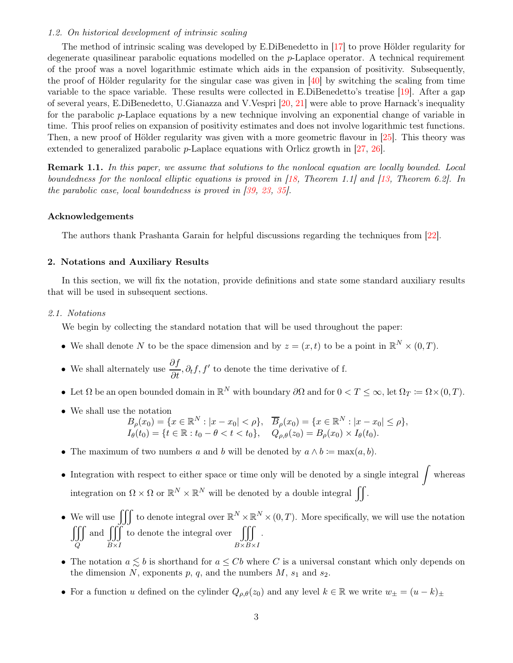## <span id="page-2-3"></span><span id="page-2-0"></span>1.2. On historical development of intrinsic scaling

The method of intrinsic scaling was developed by E.DiBenedetto in [\[17](#page-29-10)] to prove Hölder regularity for degenerate quasilinear parabolic equations modelled on the p-Laplace operator. A technical requirement of the proof was a novel logarithmic estimate which aids in the expansion of positivity. Subsequently, the proof of Hölder regularity for the singular case was given in [\[40\]](#page-30-9) by switching the scaling from time variable to the space variable. These results were collected in E.DiBenedetto's treatise [\[19\]](#page-29-11). After a gap of several years, E.DiBenedetto, U.Gianazza and V.Vespri [\[20,](#page-29-0) [21\]](#page-29-1) were able to prove Harnack's inequality for the parabolic p-Laplace equations by a new technique involving an exponential change of variable in time. This proof relies on expansion of positivity estimates and does not involve logarithmic test functions. Then, a new proof of Hölder regularity was given with a more geometric flavour in [\[25](#page-29-12)]. This theory was extended to generalized parabolic p-Laplace equations with Orlicz growth in [\[27,](#page-29-13) [26](#page-29-14)].

**Remark 1.1.** In this paper, we assume that solutions to the nonlocal equation are locally bounded. Local boundedness for the nonlocal elliptic equations is proved in [\[18,](#page-29-2) Theorem 1.1] and [\[13](#page-28-4), Theorem 6.2]. In the parabolic case, local boundedness is proved in [\[39,](#page-30-4) [23](#page-29-4), [35](#page-30-5)].

# Acknowledgements

The authors thank Prashanta Garain for helpful discussions regarding the techniques from [\[22](#page-29-15)].

# <span id="page-2-1"></span>2. Notations and Auxiliary Results

In this section, we will fix the notation, provide definitions and state some standard auxiliary results that will be used in subsequent sections.

#### <span id="page-2-2"></span>2.1. Notations

We begin by collecting the standard notation that will be used throughout the paper:

- We shall denote N to be the space dimension and by  $z = (x, t)$  to be a point in  $\mathbb{R}^N \times (0, T)$ .
- We shall alternately use  $\frac{\partial f}{\partial t}$ ,  $\partial_t f$ ,  $f'$  to denote the time derivative of f.
- Let  $\Omega$  be an open bounded domain in  $\mathbb{R}^N$  with boundary  $\partial\Omega$  and for  $0 < T \leq \infty$ , let  $\Omega_T := \Omega \times (0, T)$ .
- We shall use the notation

$$
B_{\rho}(x_0) = \{x \in \mathbb{R}^N : |x - x_0| < \rho\}, \quad \overline{B}_{\rho}(x_0) = \{x \in \mathbb{R}^N : |x - x_0| \le \rho\},
$$
\n
$$
I_{\theta}(t_0) = \{t \in \mathbb{R} : t_0 - \theta < t < t_0\}, \quad Q_{\rho, \theta}(z_0) = B_{\rho}(x_0) \times I_{\theta}(t_0).
$$

- The maximum of two numbers a and b will be denoted by  $a \wedge b := \max(a, b)$ .
- Integration with respect to either space or time only will be denoted by a single integral  $\int$  whereas integration on  $\Omega \times \Omega$  or  $\mathbb{R}^N \times \mathbb{R}^N$  will be denoted by a double integral  $\iint$ .
- We will use  $\iiint$  to denote integral over  $\mathbb{R}^N \times \mathbb{R}^N \times (0,T)$ . More specifically, we will use the notation  $\int$ Q and  $\iiint$  $B\times I$ to denote the integral over  $\iiint$  $B\times B\times I$ .
- The notation  $a \leq b$  is shorthand for  $a \leq Cb$  where C is a universal constant which only depends on the dimension N, exponents p, q, and the numbers  $M$ ,  $s_1$  and  $s_2$ .
- For a function u defined on the cylinder  $Q_{\rho,\theta}(z_0)$  and any level  $k \in \mathbb{R}$  we write  $w_{\pm} = (u k)_{\pm}$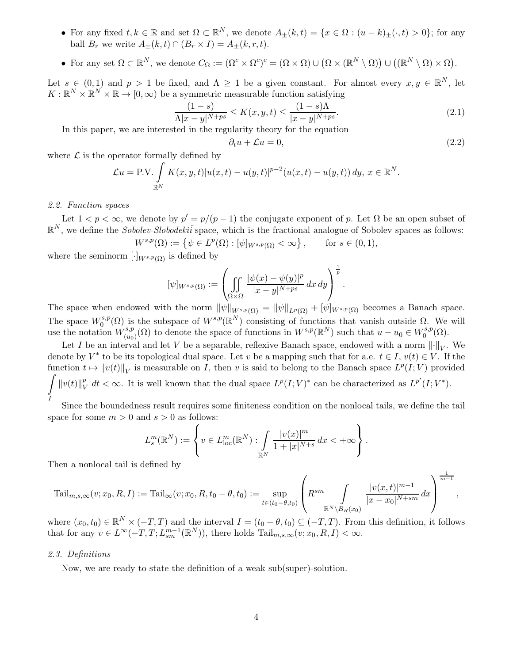- For any fixed  $t, k \in \mathbb{R}$  and set  $\Omega \subset \mathbb{R}^N$ , we denote  $A_{\pm}(k,t) = \{x \in \Omega : (u-k)_{\pm}(\cdot, t) > 0\}$ ; for any ball  $B_r$  we write  $A_{\pm}(k,t) \cap (B_r \times I) = A_{\pm}(k,r,t)$ .
- For any set  $\Omega \subset \mathbb{R}^N$ , we denote  $C_{\Omega} := (\Omega^c \times \Omega^c)^c = (\Omega \times \Omega) \cup (\Omega \times (\mathbb{R}^N \setminus \Omega)) \cup ((\mathbb{R}^N \setminus \Omega) \times \Omega)$ .

Let  $s \in (0,1)$  and  $p > 1$  be fixed, and  $\Lambda \geq 1$  be a given constant. For almost every  $x, y \in \mathbb{R}^N$ , let  $K: \mathbb{R}^N \times \mathbb{R}^N \times \mathbb{R} \to [0, \infty)$  be a symmetric measurable function satisfying

<span id="page-3-3"></span>
$$
\frac{(1-s)}{\Lambda|x-y|^{N+ps}} \le K(x, y, t) \le \frac{(1-s)\Lambda}{|x-y|^{N+ps}}.
$$
\n(2.1)

In this paper, we are interested in the regularity theory for the equation

<span id="page-3-2"></span>
$$
\partial_t u + \mathcal{L}u = 0,\tag{2.2}
$$

where  $\mathcal L$  is the operator formally defined by

$$
\mathcal{L}u = \text{P.V.} \int_{\mathbb{R}^N} K(x, y, t) |u(x, t) - u(y, t)|^{p-2} (u(x, t) - u(y, t)) dy, x \in \mathbb{R}^N.
$$

## <span id="page-3-0"></span>2.2. Function spaces

Let  $1 < p < \infty$ , we denote by  $p' = p/(p-1)$  the conjugate exponent of p. Let  $\Omega$  be an open subset of  $\mathbb{R}^N$ , we define the *Sobolev-Slobodeki*<sup> $\tilde{i}$ </sup> space, which is the fractional analogue of Sobolev spaces as follows:

$$
W^{s,p}(\Omega) := \{ \psi \in L^p(\Omega) : [\psi]_{W^{s,p}(\Omega)} < \infty \}, \quad \text{for } s \in (0,1),
$$

where the seminorm  $[\cdot]_{W^{s,p}(\Omega)}$  is defined by

$$
[\psi]_{W^{s,p}(\Omega)} := \left( \iint\limits_{\Omega \times \Omega} \frac{|\psi(x) - \psi(y)|^p}{|x - y|^{N+ps}} dx dy \right)^{\frac{1}{p}}.
$$

The space when endowed with the norm  $\|\psi\|_{W^{s,p}(\Omega)} = \|\psi\|_{L^p(\Omega)} + [\psi]_{W^{s,p}(\Omega)}$  becomes a Banach space. The space  $W_0^{s,p}$  $\Omega_0^{s,p}(\Omega)$  is the subspace of  $W^{s,p}(\mathbb{R}^N)$  consisting of functions that vanish outside  $\Omega$ . We will use the notation  $W^{s,p}_{(u)}$  $(u_0)(\Omega)$  to denote the space of functions in  $W^{s,p}(\mathbb{R}^N)$  such that  $u - u_0 \in W_0^{s,p}$  $\binom{s,p}{0}$ 

Let I be an interval and let V be a separable, reflexive Banach space, endowed with a norm  $\lVert \cdot \rVert_V$ . We denote by  $V^*$  to be its topological dual space. Let v be a mapping such that for a.e.  $t \in I$ ,  $v(t) \in V$ . If the function  $t \mapsto ||v(t)||_V$  is measurable on I, then v is said to belong to the Banach space  $L^p(I; V)$  provided  $\int ||v(t)||_{V}^{p}$ I  $\frac{p}{V}$  dt  $\lt \infty$ . It is well known that the dual space  $L^p(I;V)^*$  can be characterized as  $L^{p'}(I;V^*)$ .

Since the boundedness result requires some finiteness condition on the nonlocal tails, we define the tail space for some  $m > 0$  and  $s > 0$  as follows:

$$
L_s^m(\mathbb{R}^N) := \left\{ v \in L_{\text{loc}}^m(\mathbb{R}^N) : \int\limits_{\mathbb{R}^N} \frac{|v(x)|^m}{1 + |x|^{N+s}} dx < +\infty \right\}.
$$

Then a nonlocal tail is defined by

$$
\mathrm{Tail}_{m,s,\infty}(v;x_0,R,I) := \mathrm{Tail}_\infty(v;x_0,R,t_0-\theta,t_0) := \sup_{t \in (t_0-\theta,t_0)} \left(R^{sm} \int\limits_{\mathbb{R}^N \backslash B_R(x_0)} \frac{|v(x,t)|^{m-1}}{|x-x_0|^{N+sm}} \, dx\right)^{\frac{1}{m-1}},
$$

where  $(x_0, t_0) \in \mathbb{R}^N \times (-T, T)$  and the interval  $I = (t_0 - \theta, t_0) \subseteq (-T, T)$ . From this definition, it follows that for any  $v \in L^{\infty}(-T, T; L_{sm}^{m-1}(\mathbb{R}^N))$ , there holds  $\text{Tail}_{m,s,\infty}(v; x_0, R, I) < \infty$ .

#### <span id="page-3-1"></span>2.3. Definitions

Now, we are ready to state the definition of a weak sub(super)-solution.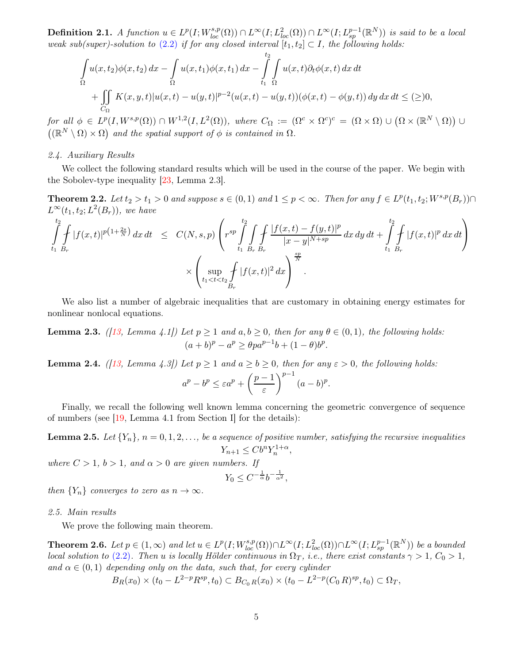<span id="page-4-7"></span>**Definition 2.1.** A function  $u \in L^p(I; W^{s,p}_{loc}(\Omega)) \cap L^{\infty}(I; L^2_{loc}(\Omega)) \cap L^{\infty}(I; L^{p-1}_{sp}(\mathbb{R}^N))$  is said to be a local weak sub(super)-solution to [\(2.2\)](#page-3-2) if for any closed interval  $[t_1, t_2] \subset I$ , the following holds:

$$
\int_{\Omega} u(x, t_2) \phi(x, t_2) dx - \int_{\Omega} u(x, t_1) \phi(x, t_1) dx - \int_{t_1}^{t_2} \int_{\Omega} u(x, t) \partial_t \phi(x, t) dx dt \n+ \int_{C_{\Omega}} K(x, y, t) |u(x, t) - u(y, t)|^{p-2} (u(x, t) - u(y, t)) (\phi(x, t) - \phi(y, t)) dy dx dt \leq (\geq) 0,
$$

for all  $\phi \in L^p(I, W^{s,p}(\Omega)) \cap W^{1,2}(I, L^2(\Omega)),$  where  $C_{\Omega} := (\Omega^c \times \Omega^c)^c = (\Omega \times \Omega) \cup (\Omega \times (\mathbb{R}^N \setminus \Omega)) \cup$  $((\mathbb{R}^N \setminus \Omega) \times \Omega)$  and the spatial support of  $\phi$  is contained in  $\Omega$ .

## <span id="page-4-0"></span>2.4. Auxiliary Results

<span id="page-4-4"></span>We collect the following standard results which will be used in the course of the paper. We begin with the Sobolev-type inequality [\[23](#page-29-4), Lemma 2.3].

**Theorem 2.2.** Let  $t_2 > t_1 > 0$  and suppose  $s \in (0,1)$  and  $1 \leq p < \infty$ . Then for any  $f \in L^p(t_1, t_2; W^{s,p}(B_r)) \cap$  $L^{\infty}(t_1,t_2;L^2(B_r)),$  we have

$$
\int_{t_1}^{t_2} \int_{B_r} |f(x,t)|^{p(1+\frac{2s}{N})} dx dt \leq C(N,s,p) \left( r^{sp} \int_{t_1}^{t_2} \int_{B_r} \int_{B_r} \frac{|f(x,t) - f(y,t)|^p}{|x - y|^{N+sp}} dx dy dt + \int_{t_1}^{t_2} \int_{B_r} |f(x,t)|^p dx dt \right) \times \left( \sup_{t_1 < t < t_2} \int_{B_r} |f(x,t)|^2 dx \right)^{\frac{sp}{N}}.
$$

<span id="page-4-2"></span>We also list a number of algebraic inequalities that are customary in obtaining energy estimates for nonlinear nonlocal equations.

**Lemma 2.3.** ([\[13](#page-28-4), Lemma 4.1]) Let  $p \ge 1$  and  $a, b \ge 0$ , then for any  $\theta \in (0, 1)$ , the following holds:  $(a + b)^p - a^p \ge \theta p a^{p-1} b + (1 - \theta) b^p.$ 

<span id="page-4-3"></span>**Lemma 2.4.** ([\[13](#page-28-4), Lemma 4.3]) Let  $p \ge 1$  and  $a \ge b \ge 0$ , then for any  $\varepsilon > 0$ , the following holds:

$$
a^p - b^p \le \varepsilon a^p + \left(\frac{p-1}{\varepsilon}\right)^{p-1} (a-b)^p.
$$

<span id="page-4-5"></span>Finally, we recall the following well known lemma concerning the geometric convergence of sequence of numbers (see [\[19](#page-29-11), Lemma 4.1 from Section I] for the details):

**Lemma 2.5.** Let  $\{Y_n\}$ ,  $n = 0, 1, 2, \ldots$ , be a sequence of positive number, satisfying the recursive inequalities  $Y_{n+1} \leq Cb^n Y_n^{1+\alpha},$ 

where  $C > 1$ ,  $b > 1$ , and  $\alpha > 0$  are given numbers. If

$$
Y_0 \le C^{-\frac{1}{\alpha}} b^{-\frac{1}{\alpha^2}},
$$

then  ${Y_n}$  converges to zero as  $n \to \infty$ .

<span id="page-4-1"></span>2.5. Main results

<span id="page-4-6"></span>We prove the following main theorem.

**Theorem 2.6.** Let  $p \in (1,\infty)$  and let  $u \in L^p(I;W^{s,p}_{loc}(\Omega)) \cap L^{\infty}(I;L^2_{loc}(\Omega)) \cap L^{\infty}(I;L^{p-1}_{sp}(\mathbb{R}^N))$  be a bounded local solution to [\(2.2\)](#page-3-2). Then u is locally Hölder continuous in  $\Omega_T$ , i.e., there exist constants  $\gamma > 1$ ,  $C_0 > 1$ , and  $\alpha \in (0,1)$  depending only on the data, such that, for every cylinder

 $B_R(x_0) \times (t_0 - L^{2-p} R^{sp}, t_0) \subset B_{C_0 R}(x_0) \times (t_0 - L^{2-p}(C_0 R)^{sp}, t_0) \subset \Omega_T$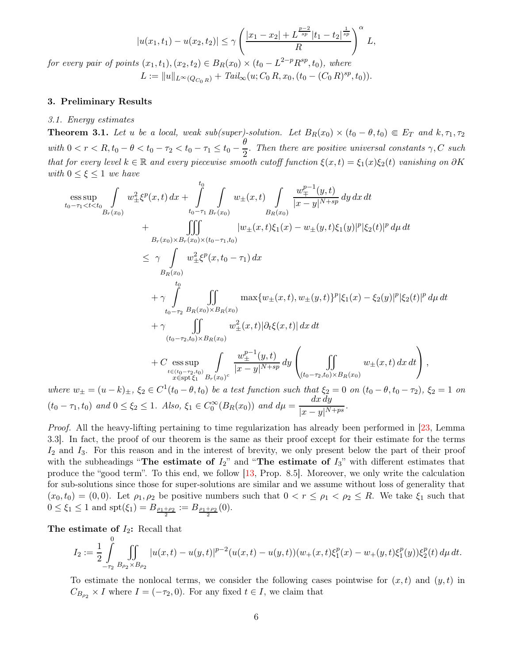$$
|u(x_1, t_1) - u(x_2, t_2)| \le \gamma \left(\frac{|x_1 - x_2| + L^{\frac{p-2}{sp}}|t_1 - t_2|^{\frac{1}{sp}}}{R}\right)^{\alpha} L,
$$

<span id="page-5-3"></span>for every pair of points  $(x_1, t_1), (x_2, t_2) \in B_R(x_0) \times (t_0 - L^{2-p} R^{sp}, t_0)$ , where

 $L := ||u||_{L^{\infty}(Q_{C_0 R})} + \text{Tail}_{\infty}(u; C_0 R, x_0, (t_0 - (C_0 R)^{sp}, t_0)).$ 

## <span id="page-5-1"></span><span id="page-5-0"></span>3. Preliminary Results

#### <span id="page-5-2"></span>3.1. Energy estimates

**Theorem 3.1.** Let u be a local, weak sub(super)-solution. Let  $B_R(x_0) \times (t_0 - \theta, t_0) \in E_T$  and  $k, \tau_1, \tau_2$ with  $0 < r < R$ ,  $t_0 - \theta < t_0 - \tau_2 < t_0 - \tau_1 \leq t_0 - \frac{\theta}{2}$  $\frac{1}{2}$ . Then there are positive universal constants  $\gamma$ , C such that for every level  $k \in \mathbb{R}$  and every piecewise smooth cutoff function  $\xi(x,t) = \xi_1(x)\xi_2(t)$  vanishing on  $\partial K$ with  $0 \leq \xi \leq 1$  we have

$$
\begin{split}\n&\underset{t_{0}-\tau_{1} < t < t_{0}}{\mathop{\sup }} \int_{B_{r}(x_{0})} w_{\pm}^{2} \xi^{p}(x,t) \, dx + \int_{t_{0}-\tau_{1}}^{t_{0}} \int_{B_{r}(x_{0})} w_{\pm}(x,t) \int_{B_{R}(x_{0})} \frac{w_{\mp}^{p-1}(y,t)}{|x-y|^{N+sp}} \, dy \, dx \, dt \\
&+ \int_{B_{r}(x_{0}) \times B_{r}(x_{0}) \times (t_{0}-\tau_{1},t_{0})} |w_{\pm}(x,t)\xi_{1}(x)-w_{\pm}(y,t)\xi_{1}(y)|^{p} |\xi_{2}(t)|^{p} \, d\mu \, dt \\
&\leq \gamma \int_{B_{R}(x_{0})} w_{\pm}^{2} \xi^{p}(x,t_{0}-\tau_{1}) \, dx \\
&+ \gamma \int_{t_{0}-\tau_{2}}^{t_{0}} \int_{B_{R}(x_{0})} \max\{w_{\pm}(x,t), w_{\pm}(y,t)\}^{p} |\xi_{1}(x)-\xi_{2}(y)|^{p} |\xi_{2}(t)|^{p} \, d\mu \, dt \\
&+ \gamma \int_{t_{0}-\tau_{2},t_{0} \times B_{R}(x_{0})} \int_{B_{R}(x_{0})} w_{\pm}^{2}(x,t) |\partial_{t}\xi(x,t)| \, dx \, dt \\
&+ C \underset{x \in \text{spt} \xi_{1}}{\mathop{\sup }} \int_{B_{r}(x_{0})} \frac{w_{\pm}^{p-1}(y,t)}{|x-y|^{N+sp}} \, dy \left( \int_{(t_{0}-\tau_{2},t_{0}) \times B_{R}(x_{0})} w_{\pm}(x,t) \, dx \, dt \right), \\
&\text{where } w_{+} = (u-k)_{+}, \, \xi_{2} \in C^{1}(t_{0}-\theta,t_{0}) \, \text{ be a test function such that } \xi_{2} = 0 \, \text{ on } (t_{0}-\theta,t_{0}-\tau_{2}), \, \xi_{2} = 1\n\end{split}
$$

where  $w_{\pm} = (u - k)_{\pm}$ ,  $\xi_2 \in C^1(t_0 - \theta, t_0)$  be a test function such that  $\xi_2 = 0$  on  $(t_0 - \theta, t_0 - \tau_2)$ ,  $\xi_2 = 1$  on  $(t_0 - \tau_1, t_0)$  and  $0 \le \xi_2 \le 1$ . Also,  $\xi_1 \in C_0^{\infty}(B_R(x_0))$  and  $d\mu = \frac{dx dy}{|x - \mu|N|}$  $\frac{d}{|x-y|^{N+ps}}.$ 

Proof. All the heavy-lifting pertaining to time regularization has already been performed in [\[23](#page-29-4), Lemma 3.3]. In fact, the proof of our theorem is the same as their proof except for their estimate for the terms  $I_2$  and  $I_3$ . For this reason and in the interest of brevity, we only present below the part of their proof with the subheadings "The estimate of  $I_2$ " and "The estimate of  $I_3$ " with different estimates that produce the "good term". To this end, we follow [\[13,](#page-28-4) Prop. 8.5]. Moreover, we only write the calculation for sub-solutions since those for super-solutions are similar and we assume without loss of generality that  $(x_0, t_0) = (0, 0)$ . Let  $\rho_1, \rho_2$  be positive numbers such that  $0 < r \le \rho_1 < \rho_2 \le R$ . We take  $\xi_1$  such that  $0 \le \xi_1 \le 1$  and  $\text{spt}(\xi_1) = B_{\frac{\rho_1 + \rho_2}{2}} := B_{\frac{\rho_1 + \rho_2}{2}}(0)$ .

The estimate of  $I_2$ : Recall that  $\Omega$ 

$$
I_2:=\frac{1}{2}\int\limits_{-\tau_2}^{\tau}\iint\limits_{B_{\rho_2}\times B_{\rho_2}}|u(x,t)-u(y,t)|^{p-2}(u(x,t)-u(y,t))(w_+(x,t)\xi_1^p(x)-w_+(y,t)\xi_1^p(y))\xi_2^p(t)\,d\mu\,dt.
$$

To estimate the nonlocal terms, we consider the following cases pointwise for  $(x, t)$  and  $(y, t)$  in  $C_{B_{\rho_2}} \times I$  where  $I = (-\tau_2, 0)$ . For any fixed  $t \in I$ , we claim that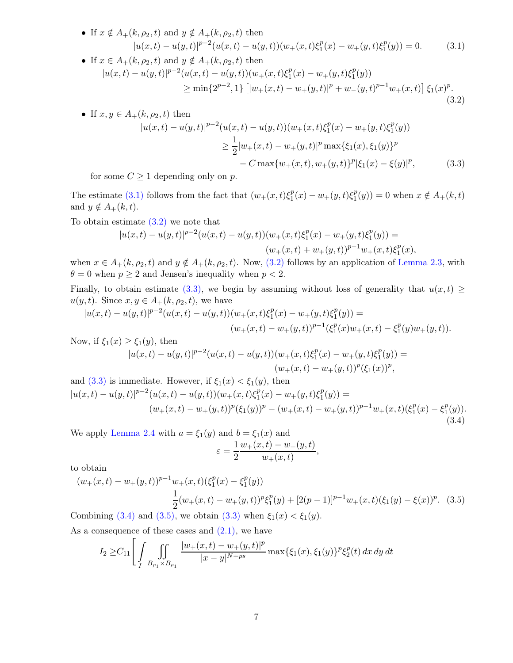<span id="page-6-0"></span>• If 
$$
x \notin A_+(k, \rho_2, t)
$$
 and  $y \notin A_+(k, \rho_2, t)$  then  
\n
$$
|u(x,t) - u(y,t)|^{p-2} (u(x,t) - u(y,t))(w_+(x,t)\xi_1^p(x) - w_+(y,t)\xi_1^p(y)) = 0.
$$
\n(3.1)

• If 
$$
x \in A_{+}(k, \rho_{2}, t)
$$
 and  $y \notin A_{+}(k, \rho_{2}, t)$  then  
\n
$$
|u(x,t) - u(y,t)|^{p-2} (u(x,t) - u(y,t))(w_{+}(x,t)\xi_{1}^{p}(x) - w_{+}(y,t)\xi_{1}^{p}(y))
$$
\n
$$
\geq \min\{2^{p-2}, 1\} \left[|w_{+}(x,t) - w_{+}(y,t)|^{p} + w_{-}(y,t)^{p-1}w_{+}(x,t)\right] \xi_{1}(x)^{p}.
$$
\n(3.2)

• If 
$$
x, y \in A_{+}(k, \rho_{2}, t)
$$
 then  
\n
$$
|u(x,t) - u(y,t)|^{p-2} (u(x,t) - u(y,t))(w_{+}(x,t)\xi_{1}^{p}(x) - w_{+}(y,t)\xi_{1}^{p}(y))
$$
\n
$$
\geq \frac{1}{2}|w_{+}(x,t) - w_{+}(y,t)|^{p} \max{\{\xi_{1}(x), \xi_{1}(y)\}}^{p}
$$
\n
$$
- C \max\{w_{+}(x,t), w_{+}(y,t)\}^{p} |\xi_{1}(x) - \xi(y)|^{p},
$$
\n(3.3)

for some  $C \geq 1$  depending only on p.

The estimate [\(3.1\)](#page-6-0) follows from the fact that  $(w_+(x,t)\xi_1^p)$  $u_1^p(x) - w_+(y,t)\xi_1^p$  $\binom{p}{1}(y) = 0$  when  $x \notin A_+(k, t)$ and  $y \notin A_+(k, t)$ .

To obtain estimate [\(3.2\)](#page-6-1) we note that

<span id="page-6-2"></span><span id="page-6-1"></span>
$$
|u(x,t) - u(y,t)|^{p-2} (u(x,t) - u(y,t))(w_+(x,t)\xi_1^p(x) - w_+(y,t)\xi_1^p(y)) =
$$
  

$$
(w_+(x,t) + w_+(y,t))^{p-1} w_+(x,t)\xi_1^p(x),
$$

when  $x \in A_+(k, \rho_2, t)$  and  $y \notin A_+(k, \rho_2, t)$ . Now,  $(3.2)$  follows by an application of [Lemma 2.3,](#page-4-2) with  $\theta = 0$  when  $p \ge 2$  and Jensen's inequality when  $p < 2$ .

Finally, to obtain estimate [\(3.3\),](#page-6-2) we begin by assuming without loss of generality that  $u(x,t) \geq$  $u(y, t)$ . Since  $x, y \in A_+(k, \rho_2, t)$ , we have

$$
|u(x,t)-u(y,t)|^{p-2}(u(x,t)-u(y,t))(w+(x,t)\xi_1^p(x)-w+(y,t)\xi_1^p(y))=
$$
  

$$
(w+(x,t)-w+(y,t))^{p-1}(\xi_1^p(x)w+(x,t)-\xi_1^p(y)w+(y,t)).
$$

Now, if  $\xi_1(x) \geq \xi_1(y)$ , then

<span id="page-6-4"></span><span id="page-6-3"></span>
$$
|u(x,t) - u(y,t)|^{p-2} (u(x,t) - u(y,t))(w_+(x,t) \xi_1^p(x) - w_+(y,t) \xi_1^p(y)) =
$$
  

$$
(w_+(x,t) - w_+(y,t))^p (\xi_1(x))^p,
$$

and (3.3) is immediate. However, if 
$$
\xi_1(x) < \xi_1(y)
$$
, then  
\n
$$
|u(x,t) - u(y,t)|^{p-2} (u(x,t) - u(y,t))(w_+(x,t)\xi_1^p(x) - w_+(y,t)\xi_1^p(y)) =
$$
\n
$$
(w_+(x,t) - w_+(y,t))^p (\xi_1(y))^p - (w_+(x,t) - w_+(y,t))^{p-1} w_+(x,t)(\xi_1^p(x) - \xi_1^p(y)).
$$
\n(3.4)

We apply [Lemma 2.4](#page-4-3) with  $a = \xi_1(y)$  and  $b = \xi_1(x)$  and  $\varepsilon = \frac{1}{2}$ 2  $w_+(x,t) - w_+(y,t)$  $\frac{w_+(x,t)}{w_+(x,t)},$ 

to obtain

$$
(w_{+}(x,t) - w_{+}(y,t))^{p-1}w_{+}(x,t)(\xi_{1}^{p}(x) - \xi_{1}^{p}(y))
$$
  

$$
\frac{1}{2}(w_{+}(x,t) - w_{+}(y,t))^{p}\xi_{1}^{p}(y) + [2(p-1)]^{p-1}w_{+}(x,t)(\xi_{1}(y) - \xi(x))^{p}.
$$
 (3.5)  
Combining (3.4) and (3.5), we obtain (3.3) when  $\xi_{1}(x) < \xi_{1}(y)$ .

As a consequence of these cases and  $(2.1)$ , we have

$$
I_2 \geq C_{11} \left[ \int \int \int \int \int \frac{|w_+(x,t) - w_+(y,t)|^p}{|x - y|^{N + ps}} \max\{\xi_1(x), \xi_1(y)\}^p \xi_2^p(t) \, dx \, dy \, dt \right]
$$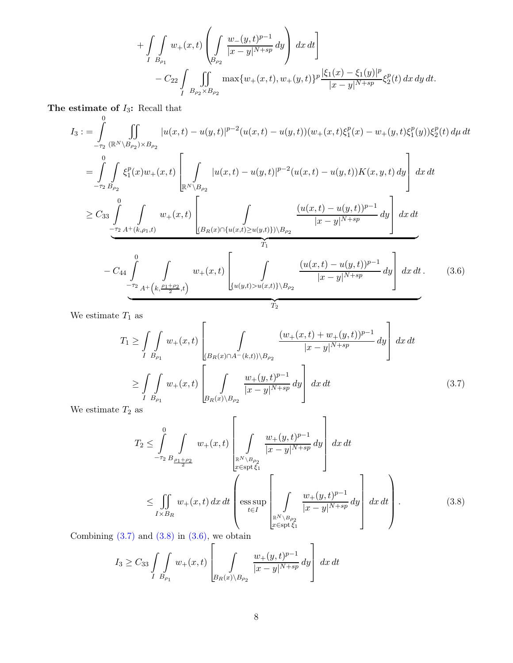+
$$
\int_{I} \int_{B_{\rho_1}} w_+(x,t) \left( \int_{B_{\rho_2}} \frac{w_-(y,t)^{p-1}}{|x-y|^{N+sp}} dy \right) dx dt \right] - C_{22} \int_{I} \int_{B_{\rho_2} \times B_{\rho_2}} \max \{w_+(x,t), w_+(y,t)\}^p \frac{|\xi_1(x) - \xi_1(y)|^p}{|x-y|^{N+sp}} \xi_2^p(t) dx dy dt.
$$

The estimate of  $I_3$ : Recall that

$$
I_{3} := \int_{-\tau_{2}}^{0} \iint_{\mathbb{R}^{N}} |u(x,t) - u(y,t)|^{p-2} (u(x,t) - u(y,t)) (w_{+}(x,t) \xi_{1}^{p}(x) - w_{+}(y,t) \xi_{1}^{p}(y)) \xi_{2}^{p}(t) d\mu dt
$$
  
\n
$$
= \int_{-\tau_{2}}^{0} \int_{B_{\rho_{2}}} \xi_{1}^{p}(x) w_{+}(x,t) \left[ \int_{\mathbb{R}^{N} \setminus B_{\rho_{2}}} |u(x,t) - u(y,t)|^{p-2} (u(x,t) - u(y,t)) K(x,y,t) dy \right] dx dt
$$
  
\n
$$
\geq C_{33} \int_{-\tau_{2}}^{0} \int_{A^{+}(k,\rho_{1},t)} w_{+}(x,t) \left[ \int_{\mathbb{R}^{R} \setminus B_{\rho_{1}}(x)} \int_{\mathbb{R}^{R} \setminus B_{\rho_{2}}} \frac{(u(x,t) - u(y,t))^{p-1}}{|x - y|^{N+sp}} dy \right] dx dt
$$
  
\n
$$
- C_{44} \int_{-\tau_{2}}^{0} \int_{A^{+}(k,\frac{\rho_{1} + \rho_{2}}{2},t)} w_{+}(x,t) \left[ \int_{\{u(y,t) > u(x,t)\} \setminus B_{\rho_{2}}} \frac{(u(x,t) - u(y,t))^{p-1}}{|x - y|^{N+sp}} dy \right] dx dt.
$$
 (3.6)

We estimate  $T_1$  as

<span id="page-7-2"></span>
$$
T_{1} \geq \int\limits_{I} \int\limits_{B_{\rho_{1}}} w_{+}(x,t) \left[ \int\limits_{\{B_{R}(x) \cap A^{-}(k,t)\} \setminus B_{\rho_{2}}} \frac{(w_{+}(x,t) + w_{+}(y,t))^{p-1}}{|x - y|^{N+sp}} dy \right] dx dt
$$
  
\n
$$
\geq \int\limits_{I} \int\limits_{B_{\rho_{1}}} w_{+}(x,t) \left[ \int\limits_{B_{R}(x) \setminus B_{\rho_{2}}} \frac{w_{+}(y,t)^{p-1}}{|x - y|^{N+sp}} dy \right] dx dt
$$
(3.7)

We estimate  $T_2$  as

<span id="page-7-1"></span><span id="page-7-0"></span>
$$
T_2 \leq \int_{-\tau_2}^{0} \int_{B_{\frac{\rho_1+\rho_2}{2}}} w_+(x,t) \left[ \int_{\substack{\mathbb{R}^N \setminus B_{\rho_2} \\ x \in \text{spt}\xi_1}} \frac{w_+(y,t)^{p-1}}{|x-y|^{N+sp}} dy \right] dx dt
$$
  

$$
\leq \int_{I \times B_R} w_+(x,t) dx dt \left[ \underset{t \in I}{\text{ess sup}} \left[ \int_{\substack{\mathbb{R}^N \setminus B_{\rho_2} \\ t \in I}} \frac{w_+(y,t)^{p-1}}{|x-y|^{N+sp}} dy \right] dx dt \right].
$$
 (3.8)

Combining  $(3.7)$  and  $(3.8)$  in  $(3.6)$ , we obtain

$$
I_3 \geq C_{33} \int_{I} \int_{B_{\rho_1}} w_+(x,t) \left[ \int_{B_R(x) \backslash B_{\rho_2}} \frac{w_+(y,t)^{p-1}}{|x-y|^{N+sp}} dy \right] dx dt
$$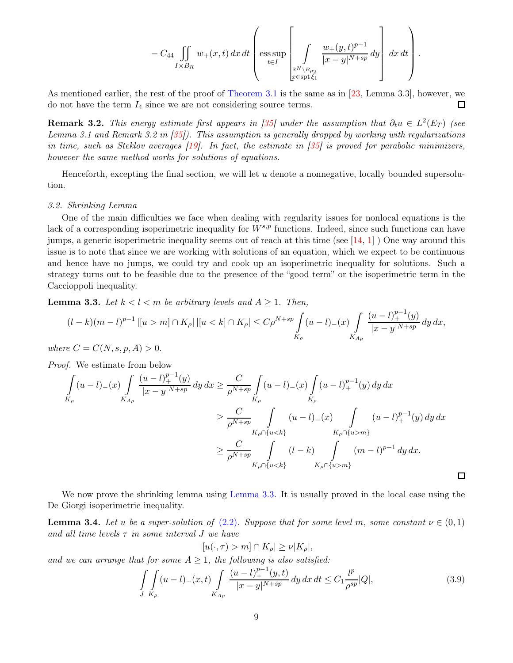$$
- C_{44} \iint\limits_{I\times B_R} w_+(x,t)\,dx\,dt\left( \text{ess}\sup\limits_{t\in I}\left[\int\limits_{\mathbb{R}^N\setminus B_{\rho_2} \atop x^{\infty}\text{split}\xi_1}\frac{w_+(y,t)^{p-1}}{|x-y|^{N+sp}}\,dy\right]\,dx\,dt\right).
$$

<span id="page-8-4"></span>As mentioned earlier, the rest of the proof of [Theorem 3.1](#page-5-2) is the same as in [\[23](#page-29-4), Lemma 3.3], however, we  $\Box$ do not have the term  $I_4$  since we are not considering source terms.

**Remark 3.2.** This energy estimate first appears in [\[35](#page-30-5)] under the assumption that  $\partial_t u \in L^2(E_T)$  (see Lemma 3.1 and Remark 3.2 in [\[35\]](#page-30-5)). This assumption is generally dropped by working with regularizations in time, such as Steklov averages [\[19\]](#page-29-11). In fact, the estimate in [\[35](#page-30-5)] is proved for parabolic minimizers, however the same method works for solutions of equations.

Henceforth, excepting the final section, we will let  $u$  denote a nonnegative, locally bounded supersolution.

## <span id="page-8-0"></span>3.2. Shrinking Lemma

One of the main difficulties we face when dealing with regularity issues for nonlocal equations is the lack of a corresponding isoperimetric inequality for  $W^{s,p}$  functions. Indeed, since such functions can have jumps, a generic isoperimetric inequality seems out of reach at this time (see  $[14, 1]$  $[14, 1]$  $[14, 1]$ ) One way around this issue is to note that since we are working with solutions of an equation, which we expect to be continuous and hence have no jumps, we could try and cook up an isoperimetric inequality for solutions. Such a strategy turns out to be feasible due to the presence of the "good term" or the isoperimetric term in the Caccioppoli inequality.

<span id="page-8-1"></span>**Lemma 3.3.** Let  $k < l < m$  be arbitrary levels and  $A \geq 1$ . Then,

$$
(l-k)(m-l)^{p-1}|[u>m]\cap K_{\rho}|\,|[u
$$

where  $C = C(N, s, p, A) > 0$ .

Proof. We estimate from below

$$
\int_{K_{\rho}} (u-l)_{-}(x) \int_{K_{A\rho}} \frac{(u-l)_{+}^{p-1}(y)}{|x-y|^{N+sp}} dy dx \ge \frac{C}{\rho^{N+sp}} \int_{K_{\rho}} (u-l)_{-}(x) \int_{K_{\rho}} (u-l)_{+}^{p-1}(y) dy dx
$$
\n
$$
\ge \frac{C}{\rho^{N+sp}} \int_{K_{\rho} \cap \{u < k\}} (u-l)_{-}(x) \int_{K_{\rho} \cap \{u > m\}} (u-l)_{+}^{p-1}(y) dy dx
$$
\n
$$
\ge \frac{C}{\rho^{N+sp}} \int_{K_{\rho} \cap \{u < k\}} (l-k) \int_{K_{\rho} \cap \{u > m\}} (m-l)^{p-1} dy dx.
$$

<span id="page-8-3"></span>We now prove the shrinking lemma using [Lemma 3.3.](#page-8-1) It is usually proved in the local case using the De Giorgi isoperimetric inequality.

**Lemma 3.4.** Let u be a super-solution of  $(2.2)$ . Suppose that for some level m, some constant  $\nu \in (0,1)$ and all time levels  $\tau$  in some interval  $J$  we have

<span id="page-8-2"></span>
$$
|[u(\cdot,\tau)>m]\cap K_{\rho}|\geq \nu|K_{\rho}|,
$$

and we can arrange that for some  $A \geq 1$ , the following is also satisfied:

$$
\int_{J} \int_{K_{\rho}} (u - l)_{-}(x, t) \int_{K_{A_{\rho}}} \frac{(u - l)_{+}^{p-1}(y, t)}{|x - y|^{N + sp}} dy dx dt \leq C_{1} \frac{l^{p}}{\rho^{sp}} |Q|,
$$
\n(3.9)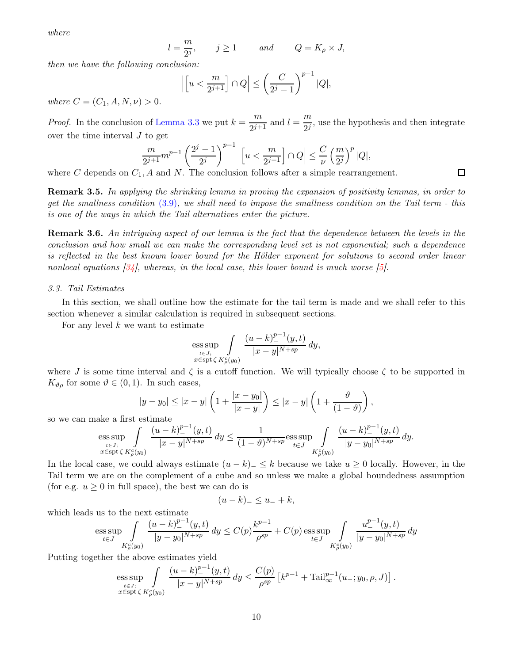<span id="page-9-2"></span>where

$$
l = \frac{m}{2^j}
$$
,  $j \ge 1$  and  $Q = K_\rho \times J$ ,

then we have the following conclusion:

$$
\left| \left[ u < \frac{m}{2^{j+1}} \right] \cap Q \right| \le \left( \frac{C}{2^j - 1} \right)^{p-1} |Q|,
$$

where  $C = (C_1, A, N, \nu) > 0$ .

*Proof.* In the conclusion of [Lemma 3.3](#page-8-1) we put  $k = \frac{m}{2i+1}$  $\frac{m}{2^{j+1}}$  and  $l = \frac{m}{2^j}$  $\frac{m}{2^{j}}$ , use the hypothesis and then integrate over the time interval J to get

$$
\frac{m}{2^{j+1}}m^{p-1}\left(\frac{2^j-1}{2^j}\right)^{p-1}\left|\left[u<\frac{m}{2^{j+1}}\right]\cap Q\right|\leq \frac{C}{\nu}\left(\frac{m}{2^j}\right)^p|Q|,
$$

where C depends on  $C_1$ , A and N. The conclusion follows after a simple rearrangement.

Remark 3.5. In applying the shrinking lemma in proving the expansion of positivity lemmas, in order to get the smallness condition [\(3.9\)](#page-8-2), we shall need to impose the smallness condition on the Tail term - this is one of the ways in which the Tail alternatives enter the picture.

<span id="page-9-1"></span>**Remark 3.6.** An intriguing aspect of our lemma is the fact that the dependence between the levels in the conclusion and how small we can make the corresponding level set is not exponential; such a dependence is reflected in the best known lower bound for the Hölder exponent for solutions to second order linear nonlocal equations  $[34]$ , whereas, in the local case, this lower bound is much worse  $[5]$ .

## <span id="page-9-0"></span>3.3. Tail Estimates

In this section, we shall outline how the estimate for the tail term is made and we shall refer to this section whenever a similar calculation is required in subsequent sections.

For any level  $k$  we want to estimate

$$
\underset{\substack{t \in J; \\ x \in \text{spt }\zeta}}{\text{ess}\sup} \int\limits_{K^c_{\rho}(y_0)} \frac{(u-k)^{p-1}(y,t)}{|x-y|^{N+sp}} dy,
$$

where J is some time interval and  $\zeta$  is a cutoff function. We will typically choose  $\zeta$  to be supported in  $K_{\vartheta,\rho}$  for some  $\vartheta \in (0,1)$ . In such cases,

$$
|y - y_0| \le |x - y| \left( 1 + \frac{|x - y_0|}{|x - y|} \right) \le |x - y| \left( 1 + \frac{\vartheta}{(1 - \vartheta)} \right),
$$

so we can make a first estimate

$$
\text{ess}\sup_{\substack{t\in J;\\x\in\text{spt}\,\zeta}}\int\limits_{K_\rho^c(y_0)}\frac{(u-k)_-^{p-1}(y,t)}{|x-y|^{N+sp}}\,dy\leq \frac{1}{(1-\vartheta)^{N+sp}}\text{ess}\sup_{t\in J}\int\limits_{K_\rho^c(y_0)}\frac{(u-k)_-^{p-1}(y,t)}{|y-y_0|^{N+sp}}\,dy.
$$

In the local case, we could always estimate  $(u - k)_- \leq k$  because we take  $u \geq 0$  locally. However, in the Tail term we are on the complement of a cube and so unless we make a global boundedness assumption (for e.g.  $u \geq 0$  in full space), the best we can do is

$$
(u-k)_{-} \leq u_{-} + k,
$$

which leads us to the next estimate

$$
\text{ess}\sup_{t\in J}\int\limits_{K_\rho^c(y_0)}\frac{(u-k)_-^{p-1}(y,t)}{|y-y_0|^{N+sp}}\,dy\leq C(p)\frac{k^{p-1}}{\rho^{sp}}+C(p)\text{ess}\sup_{t\in J}\int\limits_{K_\rho^c(y_0)}\frac{u_-^{p-1}(y,t)}{|y-y_0|^{N+sp}}\,dy
$$

Putting together the above estimates yield

$$
\text{ess}\sup_{\substack{t\in J;\\x\in \text{spt}\, \zeta}} \int\limits_{K^c_{\rho}(y_0)} \frac{(u-k)^{p-1}_- (y,t)}{|x-y|^{N+sp}} \, dy \le \frac{C(p)}{\rho^{sp}} \left[ k^{p-1} + \text{Tail}_{\infty}^{p-1}(u_-; y_0, \rho, J) \right].
$$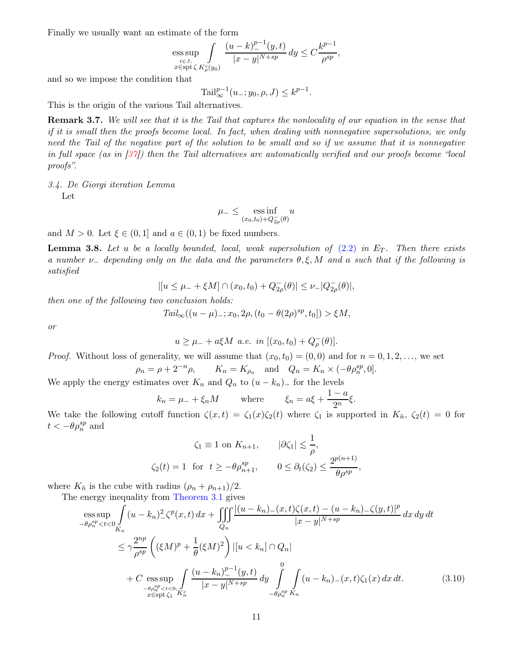<span id="page-10-3"></span>Finally we usually want an estimate of the form

$$
\text{ess}\sup_{\underset{x\in\text{spt}}{t\in J;}}\int\limits_{\zeta K_{\rho}^{c}(y_{0})}\frac{(u-k)_-^{p-1}(y,t)}{|x-y|^{N+sp}}\,dy\leq C\frac{k^{p-1}}{\rho^{sp}},
$$

and so we impose the condition that

$$
Tail_{\infty}^{p-1}(u_{-}; y_0, \rho, J) \le k^{p-1}.
$$

This is the origin of the various Tail alternatives.

Remark 3.7. We will see that it is the Tail that captures the nonlocality of our equation in the sense that if it is small then the proofs become local. In fact, when dealing with nonnegative supersolutions, we only need the Tail of the negative part of the solution to be small and so if we assume that it is nonnegative in full space (as in [\[37\]](#page-30-3)) then the Tail alternatives are automatically verified and our proofs become "local proofs".

<span id="page-10-0"></span>3.4. De Giorgi iteration Lemma

Let

$$
\mu_- \le \underset{(x_0, t_0) + Q_{2\rho}^-(\theta)}{\operatorname{ess\,inf}} u
$$

<span id="page-10-2"></span>and  $M > 0$ . Let  $\xi \in (0, 1]$  and  $a \in (0, 1)$  be fixed numbers.

**Lemma 3.8.** Let u be a locally bounded, local, weak supersolution of  $(2.2)$  in  $E_T$ . Then there exists a number  $\nu$ <sub>-</sub> depending only on the data and the parameters  $\theta, \xi, M$  and a such that if the following is satisfied

$$
|[u \leq \mu_- + \xi M] \cap (x_0, t_0) + Q_{2\rho}(\theta)| \leq \nu_- |Q_{2\rho}(\theta)|,
$$

then one of the following two conclusion holds:

$$
Tail_{\infty}((u - \mu)_{-}; x_0, 2\rho, (t_0 - \theta(2\rho)^{sp}, t_0]) > \xi M,
$$

or

$$
u \ge \mu_- + a\xi M \ a.e. \ in [(x_0, t_0) + Q_{\rho}^{-}(\theta)].
$$

*Proof.* Without loss of generality, we will assume that  $(x_0, t_0) = (0, 0)$  and for  $n = 0, 1, 2, \ldots$ , we set

 $\rho_n = \rho + 2^{-n} \rho,$   $K_n = K_{\rho_n}$  and  $Q_n = K_n \times (-\theta \rho_n^{sp}, 0].$ 

We apply the energy estimates over  $K_n$  and  $Q_n$  to  $(u - k_n)$  for the levels

$$
k_n = \mu_- + \xi_n M
$$
 where  $\xi_n = a\xi + \frac{1-a}{2^n}\xi$ .

We take the following cutoff function  $\zeta(x,t) = \zeta_1(x)\zeta_2(t)$  where  $\zeta_1$  is supported in  $K_{\tilde{n}}, \zeta_2(t) = 0$  for  $t < -\theta \rho_n^{sp}$  and

$$
\zeta_1 \equiv 1 \text{ on } K_{n+1}, \qquad |\partial \zeta_1| \le \frac{1}{\rho},
$$
  

$$
\zeta_2(t) = 1 \text{ for } t \ge -\theta \rho_{n+1}^{sp}, \qquad 0 \le \partial_t(\zeta_2) \le \frac{2^{p(n+1)}}{\theta \rho^{sp}}
$$

where  $K_{\tilde{n}}$  is the cube with radius  $(\rho_n + \rho_{n+1})/2$ .

The energy inequality from [Theorem 3.1](#page-5-2) gives

$$
\begin{split}\n&\underset{-\theta\rho_{n}^{sp} < t < 0} \int_{K_{n}} (u - k_{n})_{-}^{2} \zeta^{p}(x, t) \, dx + \iiint_{Q_{n}} \frac{|(u - k_{n})_{-}(x, t)\zeta(x, t) - (u - k_{n})_{-}\zeta(y, t)|^{p}}{|x - y|^{N + sp}} \, dx \, dy \, dt \\
&\leq \gamma \frac{2^{np}}{\rho^{sp}} \left( (\xi M)^{p} + \frac{1}{\theta} (\xi M)^{2} \right) |[u < k_{n}] \cap Q_{n}| \\
&+ C \underset{-\theta\rho_{n}^{sp} < t < 0; \int_{x \in \text{Spt}\zeta_{1}} \frac{(u - k_{n})_{-}^{p-1}(y, t)}{|x - y|^{N + sp}} \, dy \int_{-\theta\rho_{n}^{sp} K_{n}}^{0} (u - k_{n})_{-}(x, t)\zeta_{1}(x) \, dx \, dt. \tag{3.10}\n\end{split}
$$

<span id="page-10-1"></span>,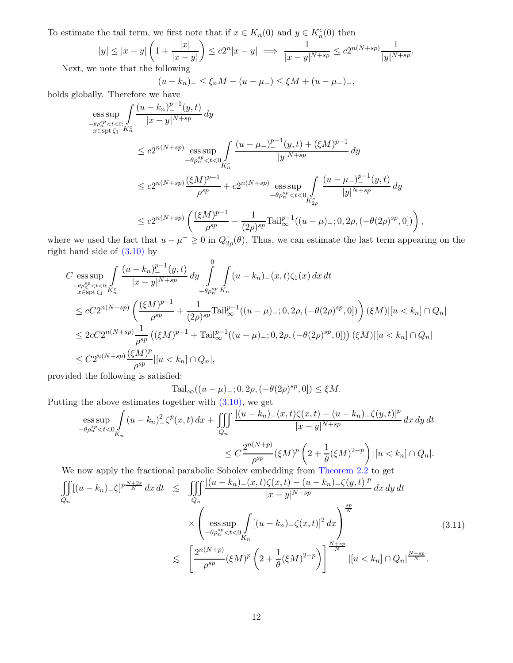To estimate the tail term, we first note that if  $x \in K_n(0)$  and  $y \in K_n^c(0)$  then

$$
|y| \le |x-y| \left(1 + \frac{|x|}{|x-y|}\right) \le c2^n |x-y| \implies \frac{1}{|x-y|^{N+sp}} \le c2^{n(N+sp)} \frac{1}{|y|^{N+sp}}.
$$

Next, w

(u − k<sub>n</sub>)<sub>−</sub> ≤  $\xi_n M - (u - \mu_{-}) \le \xi M + (u - \mu_{-})$ <sub>−</sub>,

holds globally. Therefore we have

$$
\begin{split} &\underset{-\theta \rho_n^{sp} < t < 0;}{\text{ess}\sup_{x \in \text{Spt}\zeta_1} \int} \frac{(u - k_n)^{p-1}(y, t)}{|x - y|^{N+sp}} dy \\ &\leq c2^{n(N+sp)} \underset{-\theta \rho_n^{sp} < t < 0}{} \sum_{K_n^c} \frac{(u - \mu_-)^{p-1}(y, t) + (\xi M)^{p-1}}{|y|^{N+sp}} dy \\ &\leq c2^{n(N+sp)} \frac{(\xi M)^{p-1}}{\rho^{sp}} + c2^{n(N+sp)} \underset{-\theta \rho_n^{sp} < t < 0}{} \sum_{K_{2\rho}^c} \frac{(u - \mu_-)^{p-1}(y, t)}{|y|^{N+sp}} dy \\ &\leq c2^{n(N+sp)} \left( \frac{(\xi M)^{p-1}}{\rho^{sp}} + \frac{1}{(2\rho)^{sp}} \text{Tail}_{\infty}^{p-1} ((u - \mu)_-; 0, 2\rho, (-\theta(2\rho)^{sp}, 0]) \right), \end{split}
$$

where we used the fact that  $u - \mu^{-} \geq 0$  in  $Q_{2\rho}(\theta)$ . Thus, we can estimate the last term appearing on the right hand side of [\(3.10\)](#page-10-1) by

$$
C \operatorname*{ess\,sup}_{-\theta_{\rho_n}^{sp} < t < 0; \atop x \in \operatorname{spt}\zeta_1} \int \frac{(u - k_n)^{p-1}(y, t)}{|x - y|^{N + sp}} dy \int \int \limits_{-\theta_{\rho_n}^{sp} K_n} (u - k_n)_{-}(x, t) \zeta_1(x) dx dt
$$
  
\n
$$
\leq cC 2^{n(N + sp)} \left( \frac{(\xi M)^{p-1}}{\rho^{sp}} + \frac{1}{(2\rho)^{sp}} \text{Tail}_{\infty}^{p-1} ((u - \mu)_{-}; 0, 2\rho, (-\theta(2\rho)^{sp}, 0]) \right) (\xi M) |[u < k_n] \cap Q_n|
$$
  
\n
$$
\leq 2c C 2^{n(N + sp)} \frac{1}{\rho^{sp}} \left( (\xi M)^{p-1} + \text{Tail}_{\infty}^{p-1} ((u - \mu)_{-}; 0, 2\rho, (-\theta(2\rho)^{sp}, 0]) \right) (\xi M) |[u < k_n] \cap Q_n|
$$
  
\n
$$
\leq C 2^{n(N + sp)} \frac{(\xi M)^p}{\rho^{sp}} |[u < k_n] \cap Q_n|,
$$

provided the following is satisfied:

Tail<sub>∞</sub>( $(u - \mu)$ <sub>-</sub>; 0, 2 $\rho$ ,  $(-\theta(2\rho)^{sp}, 0]$ ) ≤  $\xi M$ .

Putting the above estimates together with [\(3.10\),](#page-10-1) we get

$$
\begin{aligned}\n&\underset{-\theta \rho_n^{sp} < t < 0}{\sup} \int_{K_n} (u - k_n)^2 \zeta^p(x, t) \, dx + \iiint_{Q_n} \frac{|(u - k_n) - (x, t)\zeta(x, t) - (u - k_n) - \zeta(y, t)|^p}{|x - y|^{N + sp}} \, dx \, dy \, dt \\
&\leq C \frac{2^{n(N + p)}}{\rho^{sp}} (\xi M)^p \left(2 + \frac{1}{\theta} (\xi M)^{2 - p}\right) \left| [u < k_n] \cap Q_n \right|.\n\end{aligned}
$$

We now apply the fractional parabolic Sobolev embedding from [Theorem 2.2](#page-4-4) to get

<span id="page-11-0"></span>
$$
\iint_{Q_n} [(u-k_n)_{-} \zeta]^{p\frac{N+2s}{N}} dx dt \leq \iiint_{Q_n} \frac{|(u-k_n)_{-}(x,t) \zeta(x,t) - (u-k_n)_{-} \zeta(y,t)|^p}{|x-y|^{N+sp}} dx dy dt
$$
  

$$
\times \left( \underset{-\theta \rho_n^{sp} < t < 0}{\text{ess sup}} \int_{K_n} [(u-k_n)_{-} \zeta(x,t)]^2 dx \right)^{\frac{sp}{N}}
$$
  

$$
\leq \left[ \frac{2^{n(N+p)}}{\rho^{sp}} (\xi M)^p \left( 2 + \frac{1}{\theta} (\xi M)^{2-p} \right) \right]^{\frac{N+sp}{N}} |[u \langle k_n] \cap Q_n|^{\frac{N+sp}{N}}.
$$
\n(3.11)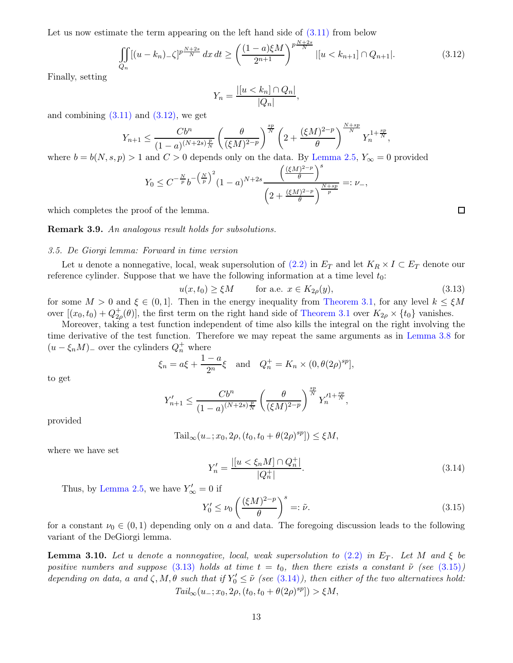Let us now estimate the term appearing on the left hand side of  $(3.11)$  from below

<span id="page-12-1"></span>
$$
\iint\limits_{Q_n} [(u-k_n)_{-} \zeta]^{p\frac{N+2s}{N}} dx dt \ge \left(\frac{(1-a)\xi M}{2^{n+1}}\right)^{p\frac{N+2s}{N}} |[u \lt k_{n+1}] \cap Q_{n+1}|. \tag{3.12}
$$

,

Finally, setting

$$
Y_n = \frac{|[u < k_n] \cap Q_n|}{|Q_n|}
$$

and combining  $(3.11)$  and  $(3.12)$ , we get

$$
Y_{n+1} \le \frac{Cb^n}{(1-a)^{(N+2s)\frac{p}{N}}} \left(\frac{\theta}{(\xi M)^{2-p}}\right)^{\frac{sp}{N}} \left(2 + \frac{(\xi M)^{2-p}}{\theta}\right)^{\frac{N+sp}{N}} Y_n^{1+\frac{sp}{N}},
$$

where  $b = b(N, s, p) > 1$  and  $C > 0$  depends only on the data. By [Lemma 2.5,](#page-4-5)  $Y_{\infty} = 0$  provided

$$
Y_0 \leq C^{-\frac{N}{p}} b^{-\left(\frac{N}{p}\right)^2} (1-a)^{N+2s} \frac{\left(\frac{(\xi M)^{2-p}}{\theta}\right)^s}{\left(2 + \frac{(\xi M)^{2-p}}{\theta}\right)^{\frac{N+sp}{p}}} =: \nu_-,
$$

which completes the proof of the lemma.

<span id="page-12-0"></span>Remark 3.9. An analogous result holds for subsolutions.

#### 3.5. De Giorgi lemma: Forward in time version

Let u denote a nonnegative, local, weak supersolution of  $(2.2)$  in  $E_T$  and let  $K_R \times I \subset E_T$  denote our reference cylinder. Suppose that we have the following information at a time level  $t_0$ :

<span id="page-12-2"></span>
$$
u(x, t_0) \ge \xi M \qquad \text{for a.e. } x \in K_{2\rho}(y), \tag{3.13}
$$

for some  $M > 0$  and  $\xi \in (0, 1]$ . Then in the energy inequality from [Theorem 3.1,](#page-5-2) for any level  $k \leq \xi M$ over  $[(x_0, t_0) + Q^+_{2\rho}(\theta)]$ , the first term on the right hand side of [Theorem 3.1](#page-5-2) over  $K_{2\rho} \times \{t_0\}$  vanishes.

Moreover, taking a test function independent of time also kills the integral on the right involving the time derivative of the test function. Therefore we may repeat the same arguments as in [Lemma 3.8](#page-10-2) for  $(u - \xi_n M)$ <sub>-</sub> over the cylinders  $Q_n^+$  where

$$
\xi_n = a\xi + \frac{1-a}{2^n}\xi
$$
 and  $Q_n^+ = K_n \times (0, \theta(2\rho)^{sp}),$ 

to get

$$
Y'_{n+1} \le \frac{Cb^n}{(1-a)^{(N+2s)\frac{p}{N}}} \left(\frac{\theta}{(\xi M)^{2-p}}\right)^{\frac{sp}{N}} Y_n'^{1+\frac{sp}{N}},
$$

provided

$$
Tail_{\infty}(u_{-}; x_0, 2\rho, (t_0, t_0 + \theta(2\rho)^{sp})) \leq \xi M,
$$

where we have set

<span id="page-12-4"></span>
$$
Y'_n = \frac{|[u < \xi_n M] \cap Q_n^+|}{|Q_n^+|}.
$$
\n(3.14)

Thus, by [Lemma 2.5,](#page-4-5) we have  $Y'_{\infty} = 0$  if

<span id="page-12-3"></span>
$$
Y_0' \le \nu_0 \left(\frac{(\xi M)^{2-p}}{\theta}\right)^s =: \tilde{\nu}.\tag{3.15}
$$

<span id="page-12-5"></span>for a constant  $\nu_0 \in (0,1)$  depending only on a and data. The foregoing discussion leads to the following variant of the DeGiorgi lemma.

**Lemma 3.10.** Let u denote a nonnegative, local, weak supersolution to  $(2.2)$  in  $E_T$ . Let M and  $\xi$  be positive numbers and suppose [\(3.13\)](#page-12-2) holds at time  $t = t_0$ , then there exists a constant  $\tilde{\nu}$  (see [\(3.15\)](#page-12-3)) depending on data, a and  $\zeta$ ,  $M$ ,  $\theta$  such that if  $Y'_0 \leq \tilde{\nu}$  (see [\(3.14\)](#page-12-4)), then either of the two alternatives hold:  $Tail_{\infty}(u_{-}; x_0, 2\rho, (t_0, t_0 + \theta(2\rho)^{sp}]) > \xi M,$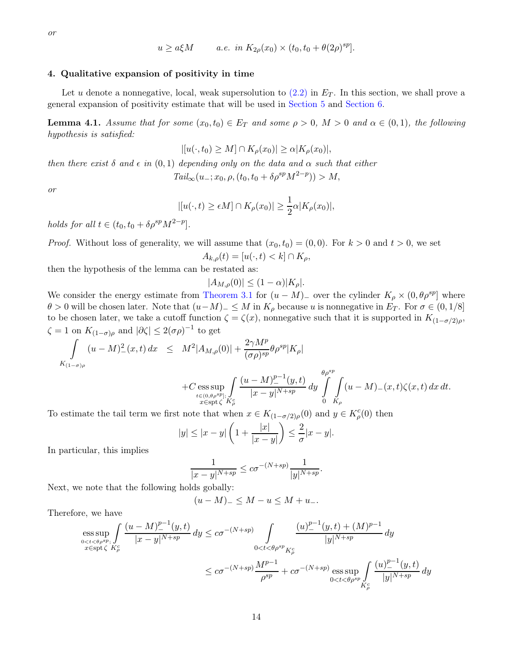$$
or
$$

$$
u \ge a\xi M \qquad a.e. \quad in \quad K_{2\rho}(x_0) \times (t_0, t_0 + \theta(2\rho)^{sp}).
$$

# <span id="page-13-0"></span>4. Qualitative expansion of positivity in time

Let u denote a nonnegative, local, weak supersolution to  $(2.2)$  in  $E_T$ . In this section, we shall prove a general expansion of positivity estimate that will be used in [Section 5](#page-14-0) and [Section 6.](#page-19-0)

**Lemma 4.1.** Assume that for some  $(x_0, t_0) \in E_T$  and some  $\rho > 0$ ,  $M > 0$  and  $\alpha \in (0, 1)$ , the following hypothesis is satisfied:

$$
|[u(\cdot,t_0)\geq M]\cap K_{\rho}(x_0)|\geq \alpha|K_{\rho}(x_0)|,
$$

then there exist  $\delta$  and  $\epsilon$  in  $(0,1)$  depending only on the data and  $\alpha$  such that either

$$
Tail_{\infty}(u_{-}; x_0, \rho, (t_0, t_0 + \delta \rho^{sp} M^{2-p})) > M,
$$

or

$$
|[u(\cdot,t)\geq \epsilon M]\cap K_{\rho}(x_0)|\geq \frac{1}{2}\alpha|K_{\rho}(x_0)|,
$$

holds for all  $t \in (t_0, t_0 + \delta \rho^{sp} M^{2-p}).$ 

*Proof.* Without loss of generality, we will assume that  $(x_0, t_0) = (0, 0)$ . For  $k > 0$  and  $t > 0$ , we set  $A_{k,\rho}(t) = [u(\cdot,t) < k] \cap K_{\rho},$ 

then the hypothesis of the lemma can be restated as:

$$
|A_{M,\rho}(0)| \le (1-\alpha)|K_{\rho}|.
$$

We consider the energy estimate from [Theorem 3.1](#page-5-2) for  $(u - M)$  over the cylinder  $K_{\rho} \times (0, \theta \rho^{sp})$  where  $\theta > 0$  will be chosen later. Note that  $(u-M)$   $\leq M$  in  $K_{\rho}$  because u is nonnegative in  $E_T$ . For  $\sigma \in (0,1/8]$ to be chosen later, we take a cutoff function  $\zeta = \zeta(x)$ , nonnegative such that it is supported in  $K_{(1-\sigma/2)\rho}$ ,  $\zeta = 1$  on  $K_{(1-\sigma)\rho}$  and  $|\partial \zeta| \leq 2(\sigma\rho)^{-1}$  to get

$$
\int_{K_{(1-\sigma)\rho}} (u-M)^2_-(x,t)\,dx \leq M^2 |A_{M,\rho}(0)| + \frac{2\gamma M^p}{(\sigma \rho)^{sp}} \theta \rho^{sp} |K_{\rho}|
$$

$$
+C \underset{x \in \text{opt}\zeta}{\text{ess sup}} \underset{K_{\rho}}{\int} \frac{(u-M)_{-}^{p-1}(y,t)}{|x-y|^{N+sp}} dy \int_{0}^{\theta \rho^{sp}} \int_{K_{\rho}} (u-M)_{-}(x,t)\zeta(x,t) dx dt.
$$

To estimate the tail term we first note that when  $x \in K_{(1-\sigma/2)\rho}(0)$  and  $y \in K_{\rho}^c(0)$  then

$$
|y| \le |x-y| \left( 1 + \frac{|x|}{|x-y|} \right) \le \frac{2}{\sigma} |x-y|.
$$

In particular, this implies

$$
\frac{1}{|x-y|^{N+sp}} \leq c\sigma^{-(N+sp)} \frac{1}{|y|^{N+sp}}.
$$

Next, we note that the following holds gobally:

$$
(u-M)_{-} \leq M - u \leq M + u_{-}.
$$

Therefore, we have

$$
\begin{aligned} \underset{\substack{0
$$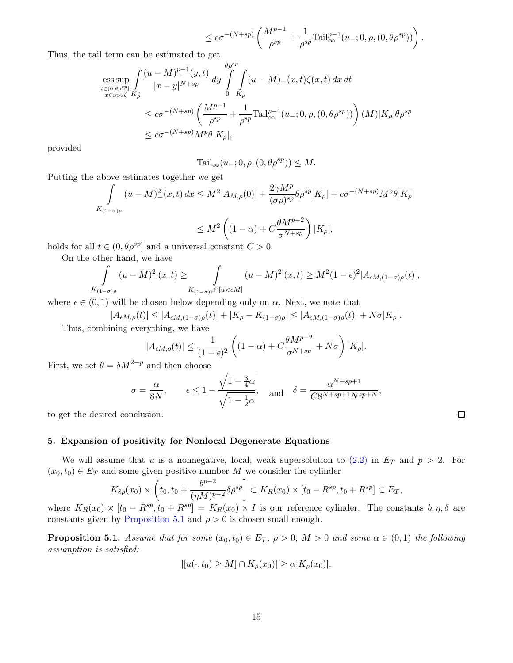$$
\leq c\sigma^{-(N+sp)}\left(\frac{M^{p-1}}{\rho^{sp}}+\frac{1}{\rho^{sp}}\text{Tail}_{\infty}^{p-1}(u_-;0,\rho,(0,\theta\rho^{sp}))\right).
$$

Thus, the tail term can be estimated to get

$$
\begin{split} &\underset{t\in(0,\theta\rho^{sp}]}{\mathop{\rm ess\,sup}}\int\limits_{K_\rho}\frac{(u-M)_-^{p-1}(y,t)}{|x-y|^{N+sp}}\,dy\int\limits_0^{\theta\rho^{sp}}\!\!\int\limits_{K_\rho}(u-M)_-(x,t)\zeta(x,t)\,dx\,dt\\ &\leq c\sigma^{-(N+sp)}\left(\frac{M^{p-1}}{\rho^{sp}}+\frac{1}{\rho^{sp}}\mathrm{Tail}_\infty^{p-1}(u_-;0,\rho,(0,\theta\rho^{sp}))\right)(M)|K_\rho|\theta\rho^{sp}\\ &\leq c\sigma^{-(N+sp)}M^p\theta|K_\rho|, \end{split}
$$

provided

$$
Tail_{\infty}(u_{-}; 0, \rho, (0, \theta \rho^{sp})) \leq M.
$$

Putting the above estimates together we get

$$
\int_{K_{(1-\sigma)\rho}} (u-M)_-^2(x,t) dx \le M^2 |A_{M,\rho}(0)| + \frac{2\gamma M^p}{(\sigma \rho)^{sp}} \theta \rho^{sp} |K_{\rho}| + c\sigma^{-(N+sp)} M^p \theta |K_{\rho}|
$$
  

$$
\le M^2 \left( (1-\alpha) + C \frac{\theta M^{p-2}}{\sigma^{N+sp}} \right) |K_{\rho}|,
$$

holds for all  $t \in (0, \theta \rho^{sp}]$  and a universal constant  $C > 0$ .

On the other hand, we have

$$
\int_{K_{(1-\sigma)\rho}} (u-M)_{-}^2(x,t) \ge \int_{K_{(1-\sigma)\rho} \cap [u < \epsilon M]} (u-M)_{-}^2(x,t) \ge M^2 (1-\epsilon)^2 |A_{\epsilon M,(1-\sigma)\rho}(t)|,
$$

where  $\epsilon \in (0,1)$  will be chosen below depending only on  $\alpha$ . Next, we note that

$$
|A_{\epsilon M,\rho}(t)| \le |A_{\epsilon M,(1-\sigma)\rho}(t)| + |K_{\rho} - K_{(1-\sigma)\rho}| \le |A_{\epsilon M,(1-\sigma)\rho}(t)| + N\sigma |K_{\rho}|.
$$
 Thus, combining everything, we have

$$
|A_{\epsilon M,\rho}(t)| \leq \frac{1}{(1-\epsilon)^2}\left((1-\alpha)+C\frac{\theta M^{p-2}}{\sigma^{N+sp}}+N\sigma\right)|K_{\rho}|.
$$

First, we set  $\theta = \delta M^{2-p}$  and then choose

$$
\sigma = \frac{\alpha}{8N}
$$
,  $\epsilon \le 1 - \frac{\sqrt{1 - \frac{3}{4}\alpha}}{\sqrt{1 - \frac{1}{2}\alpha}}$ , and  $\delta = \frac{\alpha^{N+sp+1}}{C8^{N+sp+1}N^{sp+N}}$ ,

to get the desired conclusion.

# <span id="page-14-0"></span>5. Expansion of positivity for Nonlocal Degenerate Equations

We will assume that u is a nonnegative, local, weak supersolution to  $(2.2)$  in  $E_T$  and  $p > 2$ . For  $(x_0, t_0) \in E_T$  and some given positive number M we consider the cylinder

$$
K_{8\rho}(x_0) \times \left(t_0, t_0 + \frac{b^{p-2}}{(\eta M)^{p-2}} \delta \rho^{sp}\right) \subset K_R(x_0) \times [t_0 - R^{sp}, t_0 + R^{sp}] \subset E_T,
$$

<span id="page-14-1"></span>where  $K_R(x_0) \times [t_0 - R^{sp}, t_0 + R^{sp}] = K_R(x_0) \times I$  is our reference cylinder. The constants  $b, \eta, \delta$  are constants given by [Proposition 5.1](#page-14-1) and  $\rho > 0$  is chosen small enough.

**Proposition 5.1.** Assume that for some  $(x_0, t_0) \in E_T$ ,  $\rho > 0$ ,  $M > 0$  and some  $\alpha \in (0, 1)$  the following assumption is satisfied:

$$
|[u(\cdot,t_0)\geq M]\cap K_{\rho}(x_0)|\geq \alpha|K_{\rho}(x_0)|.
$$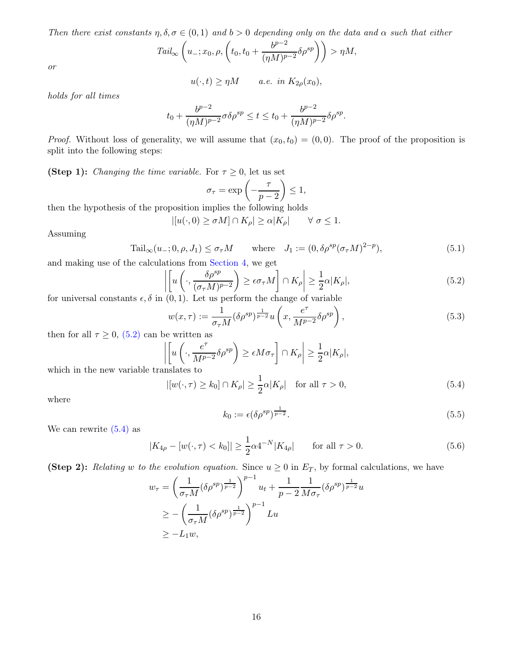Then there exist constants  $\eta, \delta, \sigma \in (0,1)$  and  $b > 0$  depending only on the data and  $\alpha$  such that either

$$
Tail_{\infty}\left(u_{-};x_0,\rho,\left(t_0,t_0+\frac{b^{p-2}}{(\eta M)^{p-2}}\delta\rho^{sp}\right)\right)>\eta M,
$$

or

$$
u(\cdot,t) \ge \eta M \qquad a.e. \in K_{2\rho}(x_0),
$$

holds for all times

$$
t_0 + \frac{b^{p-2}}{(\eta M)^{p-2}} \sigma \delta \rho^{sp} \le t \le t_0 + \frac{b^{p-2}}{(\eta M)^{p-2}} \delta \rho^{sp}.
$$

*Proof.* Without loss of generality, we will assume that  $(x_0, t_0) = (0, 0)$ . The proof of the proposition is split into the following steps:

(Step 1): Changing the time variable. For  $\tau \geq 0$ , let us set

$$
\sigma_{\tau} = \exp\left(-\frac{\tau}{p-2}\right) \le 1,
$$

then the hypothesis of the proposition implies the following holds

$$
|[u(\cdot,0)\geq \sigma M]\cap K_{\rho}|\geq \alpha |K_{\rho}| \qquad \forall \ \sigma\leq 1.
$$

Assuming

<span id="page-15-4"></span>
$$
\text{Tail}_{\infty}(u_{-};0,\rho,J_{1}) \leq \sigma_{\tau}M \qquad \text{where} \quad J_{1} := (0,\delta\rho^{sp}(\sigma_{\tau}M)^{2-p}), \tag{5.1}
$$

and making use of the calculations from [Section 4,](#page-13-0) we get

<span id="page-15-0"></span>
$$
\left| \left[ u \left( \cdot, \frac{\delta \rho^{sp}}{(\sigma_{\tau} M)^{p-2}} \right) \ge \epsilon \sigma_{\tau} M \right] \cap K_{\rho} \right| \ge \frac{1}{2} \alpha |K_{\rho}|,
$$
\n(5.2)

for universal constants  $\epsilon, \delta$  in  $(0, 1)$ . Let us perform the change of variable

$$
w(x,\tau) := \frac{1}{\sigma_{\tau}M} (\delta \rho^{sp})^{\frac{1}{p-2}} u\left(x, \frac{e^{\tau}}{M^{p-2}} \delta \rho^{sp}\right),
$$
\n(5.3)

then for all  $\tau \geq 0$ , [\(5.2\)](#page-15-0) can be written as

$$
\left| \left[ u \left( \cdot, \frac{e^{\tau}}{M^{p-2}} \delta \rho^{sp} \right) \ge \epsilon M \sigma_{\tau} \right] \cap K_{\rho} \right| \ge \frac{1}{2} \alpha |K_{\rho}|,
$$

which in the new variable translates to

<span id="page-15-1"></span>
$$
|[w(\cdot,\tau)\geq k_0]\cap K_{\rho}|\geq \frac{1}{2}\alpha|K_{\rho}| \quad \text{for all } \tau>0,
$$
\n
$$
(5.4)
$$

where

<span id="page-15-2"></span>
$$
k_0 := \epsilon (\delta \rho^{sp})^{\frac{1}{p-2}}.
$$
\n
$$
(5.5)
$$

We can rewrite  $(5.4)$  as

<span id="page-15-3"></span>
$$
|K_{4\rho} - [w(\cdot, \tau) < k_0]| \ge \frac{1}{2}\alpha 4^{-N}|K_{4\rho}| \qquad \text{for all } \tau > 0. \tag{5.6}
$$

(Step 2): Relating w to the evolution equation. Since  $u \ge 0$  in  $E_T$ , by formal calculations, we have

$$
w_{\tau} = \left(\frac{1}{\sigma_{\tau}M}(\delta \rho^{sp})^{\frac{1}{p-2}}\right)^{p-1} u_t + \frac{1}{p-2} \frac{1}{M\sigma_{\tau}}(\delta \rho^{sp})^{\frac{1}{p-2}} u
$$
  
\n
$$
\geq -\left(\frac{1}{\sigma_{\tau}M}(\delta \rho^{sp})^{\frac{1}{p-2}}\right)^{p-1} Lu
$$
  
\n
$$
\geq -L_1 w,
$$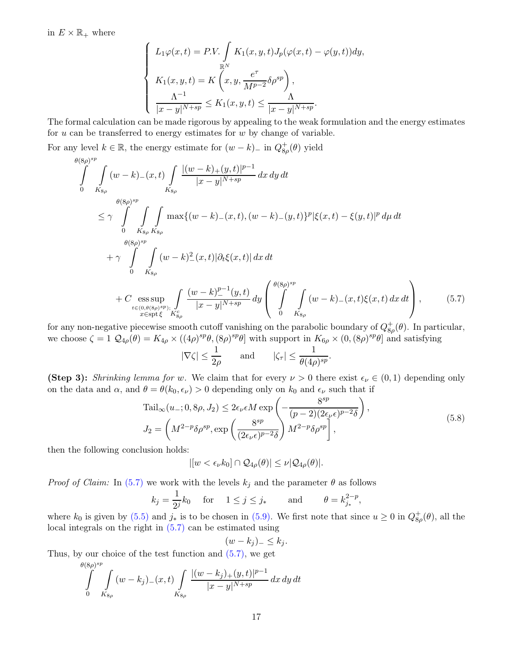in  $E \times \mathbb{R}_+$  where

$$
\begin{cases}\nL_1 \varphi(x,t) = P.V. \int_{\mathbb{R}^N} K_1(x, y, t) J_p(\varphi(x,t) - \varphi(y,t)) dy, \\
K_1(x, y, t) = K \left(x, y, \frac{e^{\tau}}{M^{p-2}} \delta \rho^{sp}\right), \\
\frac{\Lambda^{-1}}{|x - y|^{N + sp}} \le K_1(x, y, t) \le \frac{\Lambda}{|x - y|^{N + sp}}.\n\end{cases}
$$

The formal calculation can be made rigorous by appealing to the weak formulation and the energy estimates for  $u$  can be transferred to energy estimates for  $w$  by change of variable.

For any level  $k \in \mathbb{R}$ , the energy estimate for  $(w - k)$  in  $Q_{8\rho}^+(\theta)$  yield

$$
\int_{0}^{\theta(8\rho)^{sp}} \int_{K_{8\rho}} (w-k) - (x,t) \int_{K_{8\rho}} \frac{|(w-k) + (y,t)|^{p-1}}{|x-y|^{N+sp}} dx dy dt
$$
\n
$$
\leq \gamma \int_{0}^{\theta(8\rho)^{sp}} \int_{K_{8\rho}} \int_{K_{8\rho}} \max\{(w-k) - (x,t), (w-k) - (y,t)\}^{p} |\xi(x,t) - \xi(y,t)|^{p} d\mu dt
$$
\n
$$
+ \gamma \int_{0}^{\theta(8\rho)^{sp}} \int_{K_{8\rho}} (w-k)^{2} (x,t) |\partial_{t} \xi(x,t)| dx dt
$$
\n
$$
+ C \underset{t \in (0,\theta(8\rho)^{sp})_{t}}{\text{ess sup}} \int_{K_{8\rho}} \frac{(w-k)^{p-1} (y,t)}{|x-y|^{N+sp}} dy \left( \int_{0}^{\theta(8\rho)^{sp}} \int_{K_{8\rho}} (w-k) - (x,t)\xi(x,t) dx dt \right), \qquad (5.7)
$$

for any non-negative piecewise smooth cutoff vanishing on the parabolic boundary of  $Q_{8\rho}^{+}(\theta)$ . In particular, we choose  $\zeta = 1$   $\mathcal{Q}_{4\rho}(\theta) = K_{4\rho} \times ((4\rho)^{sp}\theta, (8\rho)^{sp}\theta]$  with support in  $K_{6\rho} \times (0, (8\rho)^{sp}\theta]$  and satisfying

$$
|\nabla \zeta| \le \frac{1}{2\rho}
$$
 and  $|\zeta_{\tau}| \le \frac{1}{\theta (4\rho)^{sp}}$ 

(Step 3): Shrinking lemma for w. We claim that for every  $\nu > 0$  there exist  $\epsilon_{\nu} \in (0,1)$  depending only on the data and  $\alpha$ , and  $\theta = \theta(k_0, \epsilon_\nu) > 0$  depending only on  $k_0$  and  $\epsilon_\nu$  such that if

<span id="page-16-1"></span>
$$
\text{Tail}_{\infty}(u_{-};0,\delta\rho,J_{2}) \leq 2\epsilon_{\nu}\epsilon M \exp\left(-\frac{8^{sp}}{(p-2)(2\epsilon_{\nu}\epsilon)^{p-2}\delta}\right),
$$
\n
$$
J_{2} = \left(M^{2-p}\delta\rho^{sp}, \exp\left(\frac{8^{sp}}{(2\epsilon_{\nu}\epsilon)^{p-2}\delta}\right)M^{2-p}\delta\rho^{sp}\right],
$$
\n(5.8)

<span id="page-16-0"></span>.

then the following conclusion holds:

$$
|[w < \epsilon_{\nu} k_0] \cap \mathcal{Q}_{4\rho}(\theta)| \leq \nu |\mathcal{Q}_{4\rho}(\theta)|.
$$

*Proof of Claim:* In [\(5.7\)](#page-16-0) we work with the levels  $k_j$  and the parameter  $\theta$  as follows

$$
k_j = \frac{1}{2^j} k_0
$$
 for  $1 \le j \le j_*$  and  $\theta = k_{j_*}^{2-p}$ ,

where  $k_0$  is given by [\(5.5\)](#page-15-2) and  $j_*$  is to be chosen in [\(5.9\).](#page-17-0) We first note that since  $u \ge 0$  in  $Q_{8\rho}^+(\theta)$ , all the local integrals on the right in [\(5.7\)](#page-16-0) can be estimated using

$$
(w-k_j)_{-} \leq k_j.
$$

Thus, by our choice of the test function and [\(5.7\),](#page-16-0) we get

$$
\int_{0}^{\theta(8\rho)^{sp}} \int_{K_{8\rho}} (w - k_j) (x, t) \int_{K_{8\rho}} \frac{|(w - k_j)_{+}(y, t)|^{p-1}}{|x - y|^{N+sp}} dx dy dt
$$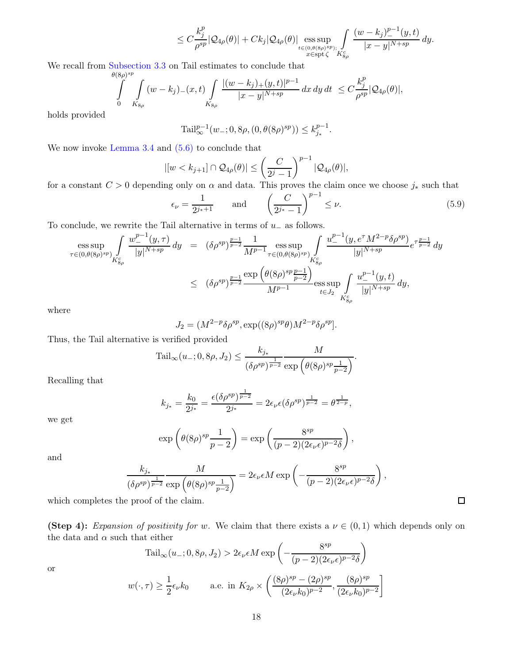$$
\leq C\frac{k_j^p}{\rho^{sp}}|\mathcal{Q}_{4\rho}(\theta)|+Ck_j|\mathcal{Q}_{4\rho}(\theta)|\operatorname*{\mathrm{ess\,sup}}_{\substack{t\in(0,\theta(8\rho)^{sp});\\x\in\mathrm{spt}\zeta}}\int\limits_{K_{8\rho}^c}\frac{(w-k_j)_-^{p-1}(y,t)}{|x-y|^{N+sp}}\,dy.
$$

We recall from [Subsection 3.3](#page-9-0) on Tail estimates to conclude that

$$
\int_{0}^{\theta(8\rho)^{sp}} \int_{K_{8\rho}} (w-k_j)_{-}(x,t) \int_{K_{8\rho}} \frac{|(w-k_j)_{+}(y,t)|^{p-1}}{|x-y|^{N+sp}} dx dy dt \leq C \frac{k_j^p}{\rho^{sp}} |Q_{4\rho}(\theta)|,
$$

holds provided

$$
\text{Tail}_{\infty}^{p-1}(w_{-}; 0, 8\rho, (0, \theta(8\rho)^{sp})) \le k_{j_*}^{p-1}.
$$

We now invoke [Lemma 3.4](#page-8-3) and  $(5.6)$  to conclude that

$$
|[w < k_{j+1}] \cap \mathcal{Q}_{4\rho}(\theta)| \leq \left(\frac{C}{2^j-1}\right)^{p-1} |\mathcal{Q}_{4\rho}(\theta)|,
$$

for a constant  $C > 0$  depending only on  $\alpha$  and data. This proves the claim once we choose  $j_*$  such that

<span id="page-17-0"></span>
$$
\epsilon_{\nu} = \frac{1}{2^{j_*+1}}
$$
 and  $\left(\frac{C}{2^{j_*}-1}\right)^{p-1} \leq \nu.$  (5.9)

To conclude, we rewrite the Tail alternative in terms of  $u_$  as follows.

$$
\begin{array}{rcl} \displaystyle \text{ess}\sup_{\tau\in (0, \theta(8\rho)^{sp})} \int\limits_{K_{8\rho}^c} \frac{w_-^{p-1}(y, \tau)}{|y|^{N+sp}} \, dy & = & \displaystyle (\delta \rho^{sp})^{\frac{p-1}{p-2}} \frac{1}{M^{p-1}} \mathop{\mathrm{ess}\, \sup}_{\tau\in (0, \theta(8\rho)^{sp})} \int\limits_{K_{8\rho}^c} \frac{w_-^{p-1}(y, e^{\tau}M^{2-p}\delta \rho^{sp})}{|y|^{N+sp}} e^{\tau \frac{p-1}{p-2}} \, dy \\ \\ & \leq & \displaystyle \left(\delta \rho^{sp}\right)^{\frac{p-1}{p-2}} \frac{\exp\left(\theta(8\rho)^{sp} \frac{p-1}{p-2}\right)}{M^{p-1}} \mathop{\mathrm{ess}\, \sup}_{t\in J_2} \int\limits_{K_{8\rho}^c} \frac{u_-^{p-1}(y, t)}{|y|^{N+sp}} \, dy, \end{array}
$$

where

$$
J_2 = (M^{2-p} \delta \rho^{sp}, \exp((8\rho)^{sp}\theta) M^{2-p} \delta \rho^{sp}).
$$

Thus, the Tail alternative is verified provided

$$
Tail_{\infty}(u_{-}; 0, 8\rho, J_2) \le \frac{k_{j_*}}{(\delta \rho^{sp})^{\frac{1}{p-2}}} \frac{M}{\exp\left(\theta(8\rho)^{sp} \frac{1}{p-2}\right)}.
$$

Recalling that

$$
k_{j_*} = \frac{k_0}{2^{j_*}} = \frac{\epsilon(\delta \rho^{sp})^{\frac{1}{p-2}}}{2^{j_*}} = 2\epsilon_{\nu}\epsilon(\delta \rho^{sp})^{\frac{1}{p-2}} = \theta^{\frac{1}{2-p}},
$$

we get

$$
\exp\left(\theta(8\rho)^{sp}\frac{1}{p-2}\right) = \exp\left(\frac{8^{sp}}{(p-2)(2\epsilon_\nu\epsilon)^{p-2}\delta}\right),\,
$$

and

$$
\frac{k_{j_*}}{(\delta \rho^{sp})^{\frac{1}{p-2}} \exp\left(\theta (8\rho)^{sp} \frac{1}{p-2}\right)} = 2\epsilon_{\nu} \epsilon M \exp\left(-\frac{8^{sp}}{(p-2)(2\epsilon_{\nu} \epsilon)^{p-2}\delta}\right),
$$

which completes the proof of the claim.

(Step 4): Expansion of positivity for w. We claim that there exists a  $\nu \in (0,1)$  which depends only on the data and  $\alpha$  such that either

$$
Tail_{\infty}(u_{-};0,8\rho,J_{2}) > 2\epsilon_{\nu}\epsilon M \exp\left(-\frac{8^{sp}}{(p-2)(2\epsilon_{\nu}\epsilon)^{p-2}\delta}\right)
$$

$$
w(\cdot,\tau) \ge \frac{1}{2}\epsilon_{\nu}k_{0} \qquad \text{a.e. in } K_{2\rho} \times \left(\frac{(8\rho)^{sp} - (2\rho)^{sp}}{(2\epsilon_{\nu}k_{0})^{p-2}}, \frac{(8\rho)^{sp}}{(2\epsilon_{\nu}k_{0})^{p-2}}\right]
$$

or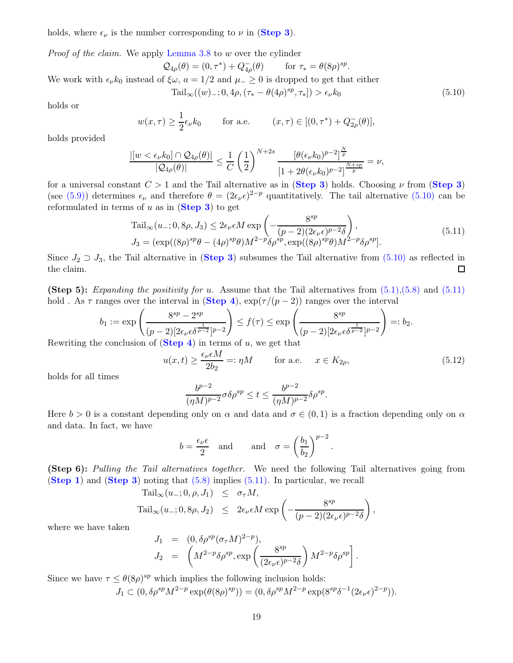holds, where  $\epsilon_{\nu}$  is the number corresponding to  $\nu$  in (**[Step 3](#page-16-0)**).

Proof of the claim. We apply [Lemma 3.8](#page-10-2) to w over the cylinder

$$
Q_{4\rho}(\theta) = (0, \tau^*) + Q_{4\rho}(\theta) \quad \text{for } \tau_* = \theta(8\rho)^{sp}.
$$
  
We work with  $\epsilon_{\nu}k_0$  instead of  $\xi\omega$ ,  $a = 1/2$  and  $\mu_- \ge 0$  is dropped to get that either  

$$
\text{Tail}_{\infty}((w)_-; 0, 4\rho, (\tau_* - \theta(4\rho)^{sp}, \tau_*]) > \epsilon_{\nu}k_0
$$
(5.10)

holds or

<span id="page-18-0"></span>
$$
w(x,\tau) \ge \frac{1}{2} \epsilon_{\nu} k_0
$$
 for a.e.  $(x,\tau) \in [(0,\tau^*) + Q_{2\rho}^-(\theta)],$ 

holds provided

$$
\frac{|[w<\epsilon_\nu k_0]\cap\mathcal Q_{4\rho}(\theta)|}{|\mathcal Q_{4\rho}(\theta)|}\leq \frac{1}{C}\left(\frac{1}{2}\right)^{N+2s}\frac{[\theta(\epsilon_\nu k_0)^{p-2}]^{\frac{N}{p}}}{[1+2\theta(\epsilon_\nu k_0)^{p-2}]^{\frac{N+sp}{p}}}=\nu,
$$

for a universal constant  $C > 1$  and the Tail alternative as in ([Step 3](#page-16-0)) holds. Choosing  $\nu$  from (Step 3) (see [\(5.9\)\)](#page-17-0) determines  $\epsilon_{\nu}$  and therefore  $\theta = (2\epsilon_{\nu}\epsilon)^{2-p}$  quantitatively. The tail alternative [\(5.10\)](#page-18-0) can be reformulated in terms of  $u$  as in  $(Step 3)$  $(Step 3)$  $(Step 3)$  to get

<span id="page-18-1"></span>
$$
\mathrm{Tail}_{\infty}(u_{-};0,\mathbf{8}\rho,J_{3}) \leq 2\epsilon_{\nu}\epsilon M \exp\left(-\frac{\mathbf{8}^{sp}}{(p-2)(2\epsilon_{\nu}\epsilon)^{p-2}\delta}\right),J_{3} = \left(\exp((8\rho)^{sp}\theta - (4\rho)^{sp}\theta)M^{2-p}\delta\rho^{sp}, \exp((8\rho)^{sp}\theta)M^{2-p}\delta\rho^{sp}\right).
$$
\n(5.11)

Since  $J_2 \supset J_3$ , the Tail alternative in ([Step 3](#page-16-0)) subsumes the Tail alternative from [\(5.10\)](#page-18-0) as reflected in the claim.  $\Box$ 

(Step 5): Expanding the positivity for u. Assume that the Tail alternatives from  $(5.1),(5.8)$  $(5.1),(5.8)$  and  $(5.11)$ hold . As  $\tau$  ranges over the interval in ([Step 4](#page-17-0)),  $\exp(\tau/(p-2))$  ranges over the interval

$$
b_1 := \exp\left(\frac{8^{sp} - 2^{sp}}{(p-2)[2\epsilon_\nu \epsilon \delta^{\frac{1}{p-2}}]^{p-2}}\right) \le f(\tau) \le \exp\left(\frac{8^{sp}}{(p-2)[2\epsilon_\nu \epsilon \delta^{\frac{1}{p-2}}]^{p-2}}\right) =: b_2.
$$

Rewriting the conclusion of  $(Step 4)$  $(Step 4)$  $(Step 4)$  in terms of u, we get that

<span id="page-18-2"></span>
$$
u(x,t) \ge \frac{\epsilon_\nu \epsilon M}{2b_2} =: \eta M \qquad \text{for a.e.} \qquad x \in K_{2\rho}, \tag{5.12}
$$

holds for all times

$$
\frac{b^{p-2}}{(\eta M)^{p-2}} \sigma \delta \rho^{sp} \le t \le \frac{b^{p-2}}{(\eta M)^{p-2}} \delta \rho^{sp}.
$$

Here  $b > 0$  is a constant depending only on  $\alpha$  and data and  $\sigma \in (0,1)$  is a fraction depending only on  $\alpha$ and data. In fact, we have

$$
b = \frac{\epsilon_{\nu}\epsilon}{2}
$$
 and and  $\sigma = \left(\frac{b_1}{b_2}\right)^{p-2}$ .

**(Step 6):** Pulling the Tail alternatives together. We need the following Tail alternatives going from ([Step 1](#page-14-1)) and ([Step 3](#page-16-0)) noting that [\(5.8\)](#page-16-1) implies [\(5.11\).](#page-18-1) In particular, we recall

$$
\mathrm{Tail}_{\infty}(u_{-}; 0, \rho, J_1) \leq \sigma_{\tau} M,
$$

$$
\mathrm{Tail}_{\infty}(u_{-}; 0, 8\rho, J_2) \leq 2\epsilon_{\nu}\epsilon M \exp\left(-\frac{8^{sp}}{(p-2)(2\epsilon_{\nu}\epsilon)^{p-2}\delta}\right),
$$

where we have taken

$$
J_1 = (0, \delta \rho^{sp} (\sigma_{\tau} M)^{2-p}),
$$
  
\n
$$
J_2 = \left( M^{2-p} \delta \rho^{sp}, \exp \left( \frac{8^{sp}}{(2\epsilon_{\nu} \epsilon)^{p-2} \delta} \right) M^{2-p} \delta \rho^{sp} \right).
$$

Since we have  $\tau \leq \theta(8\rho)^{sp}$  which implies the following inclusion holds:

 $J_1 \subset (0, \delta \rho^{sp} M^{2-p} \exp(\theta(8\rho)^{sp})) = (0, \delta \rho^{sp} M^{2-p} \exp(8^{sp} \delta^{-1} (2\epsilon_\nu \epsilon)^{2-p})).$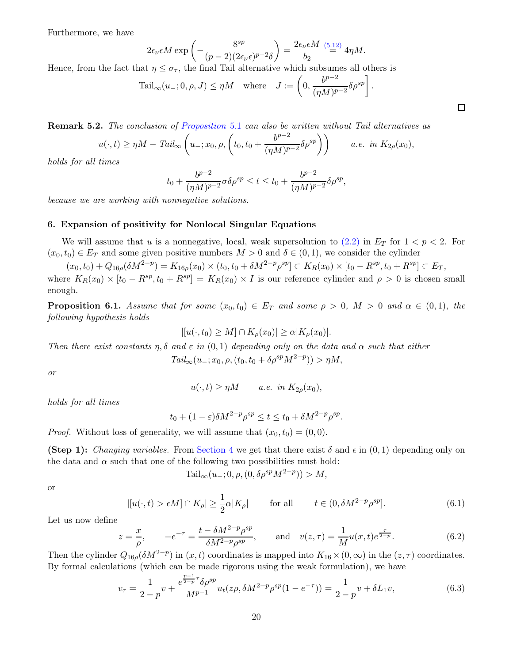Furthermore, we have

$$
2\epsilon_{\nu}\epsilon M \exp\left(-\frac{8^{sp}}{(p-2)(2\epsilon_{\nu}\epsilon)^{p-2}\delta}\right) = \frac{2\epsilon_{\nu}\epsilon M}{b_2} \stackrel{(5.12)}{=} 4\eta M.
$$

Hence, from the fact that  $\eta \leq \sigma_{\tau}$ , the final Tail alternative which subsumes all others is

$$
\mathrm{Tail}_{\infty}(u_{-}; 0, \rho, J) \leq \eta M \quad \text{where} \quad J := \left(0, \frac{b^{p-2}}{(\eta M)^{p-2}} \delta \rho^{sp}\right).
$$

Remark 5.2. The conclusion of [Proposition](#page-14-1) 5.1 can also be written without Tail alternatives as

$$
u(\cdot,t) \ge \eta M - \operatorname{Tail}_{\infty} \left( u_{-}; x_0, \rho, \left( t_0, t_0 + \frac{b^{p-2}}{(\eta M)^{p-2}} \delta \rho^{sp} \right) \right) \qquad a.e. \text{ in } K_{2\rho}(x_0),
$$

holds for all times

$$
t_0+\frac{b^{p-2}}{(\eta M)^{p-2}}\sigma\delta\rho^{sp}\leq t\leq t_0+\frac{b^{p-2}}{(\eta M)^{p-2}}\delta\rho^{sp},
$$

<span id="page-19-0"></span>because we are working with nonnegative solutions.

## 6. Expansion of positivity for Nonlocal Singular Equations

We will assume that u is a nonnegative, local, weak supersolution to  $(2.2)$  in  $E_T$  for  $1 < p < 2$ . For  $(x_0, t_0) \in E_T$  and some given positive numbers  $M > 0$  and  $\delta \in (0, 1)$ , we consider the cylinder

 $(x_0, t_0) + Q_{16\rho}(\delta M^{2-p}) = K_{16\rho}(x_0) \times (t_0, t_0 + \delta M^{2-p} \rho^{sp}) \subset K_R(x_0) \times [t_0 - R^{sp}, t_0 + R^{sp}] \subset E_T$ where  $K_R(x_0) \times [t_0 - R^{sp}, t_0 + R^{sp}] = K_R(x_0) \times I$  is our reference cylinder and  $\rho > 0$  is chosen small enough.

<span id="page-19-4"></span>**Proposition 6.1.** Assume that for some  $(x_0, t_0) \in E_T$  and some  $\rho > 0$ ,  $M > 0$  and  $\alpha \in (0, 1)$ , the following hypothesis holds

$$
|[u(\cdot,t_0)\geq M]\cap K_{\rho}(x_0)|\geq \alpha|K_{\rho}(x_0)|.
$$

Then there exist constants  $\eta$ ,  $\delta$  and  $\varepsilon$  in  $(0,1)$  depending only on the data and  $\alpha$  such that either

$$
Tail_{\infty}(u_{-};x_0,\rho,(t_0,t_0+\delta\rho^{sp}M^{2-p})) > \eta M,
$$

or

$$
u(\cdot,t) \ge \eta M \qquad a.e. \in K_{2\rho}(x_0),
$$

holds for all times

$$
t_0 + (1 - \varepsilon)\delta M^{2-p} \rho^{sp} \le t \le t_0 + \delta M^{2-p} \rho^{sp}.
$$

*Proof.* Without loss of generality, we will assume that  $(x_0, t_0) = (0, 0)$ .

**(Step 1):** Changing variables. From [Section 4](#page-13-0) we get that there exist  $\delta$  and  $\epsilon$  in  $(0, 1)$  depending only on the data and  $\alpha$  such that one of the following two possibilities must hold:

<span id="page-19-2"></span>
$$
Tail_{\infty}(u_{-}; 0, \rho, (0, \delta \rho^{sp} M^{2-p})) > M,
$$

or

<span id="page-19-1"></span>
$$
|[u(\cdot,t) > \epsilon M] \cap K_{\rho}| \ge \frac{1}{2}\alpha |K_{\rho}| \quad \text{for all} \quad t \in (0, \delta M^{2-p} \rho^{sp}]. \tag{6.1}
$$

Let us now define

<span id="page-19-3"></span>
$$
z = \frac{x}{\rho}, \qquad -e^{-\tau} = \frac{t - \delta M^{2-p} \rho^{sp}}{\delta M^{2-p} \rho^{sp}}, \qquad \text{and} \quad v(z, \tau) = \frac{1}{M} u(x, t) e^{\frac{\tau}{2-p}}.
$$
 (6.2)

Then the cylinder  $Q_{16\rho}(\delta M^{2-p})$  in  $(x,t)$  coordinates is mapped into  $K_{16}\times(0,\infty)$  in the  $(z,\tau)$  coordinates. By formal calculations (which can be made rigorous using the weak formulation), we have

$$
v_{\tau} = \frac{1}{2 - p} v + \frac{e^{\frac{p-1}{2-p}\tau} \delta \rho^{sp}}{M^{p-1}} u_t(z\rho, \delta M^{2-p} \rho^{sp} (1 - e^{-\tau})) = \frac{1}{2 - p} v + \delta L_1 v,
$$
(6.3)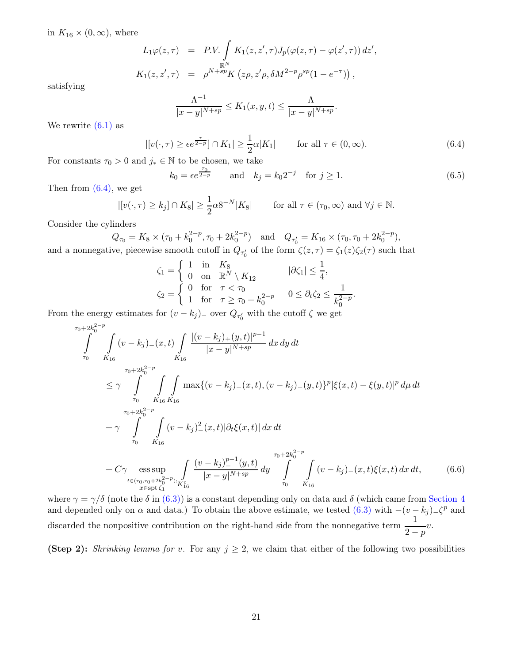in  $K_{16} \times (0, \infty)$ , where

$$
L_1 \varphi(z, \tau) = P.V. \int_{\mathbb{R}^N} K_1(z, z', \tau) J_p(\varphi(z, \tau) - \varphi(z', \tau)) dz',
$$
  

$$
K_1(z, z', \tau) = \rho^{N+sp} K(z\rho, z'\rho, \delta M^{2-p} \rho^{sp} (1 - e^{-\tau})) ,
$$

satisfying

$$
\frac{\Lambda^{-1}}{|x-y|^{N+sp}} \leq K_1(x, y, t) \leq \frac{\Lambda}{|x-y|^{N+sp}}.
$$

We rewrite  $(6.1)$  as

<span id="page-20-0"></span>
$$
|[v(\cdot,\tau)\geq\epsilon e^{\frac{\tau}{2-p}}]\cap K_1|\geq\frac{1}{2}\alpha|K_1|\qquad\text{for all }\tau\in(0,\infty).
$$
 (6.4)

For constants  $\tau_0 > 0$  and  $j_* \in \mathbb{N}$  to be chosen, we take

<span id="page-20-2"></span>
$$
k_0 = \epsilon e^{\frac{\tau_0}{2 - p}}
$$
 and  $k_j = k_0 2^{-j}$  for  $j \ge 1$ . (6.5)

Then from  $(6.4)$ , we get

$$
|[v(\cdot,\tau)\geq k_j]\cap K_8|\geq \frac{1}{2}\alpha 8^{-N}|K_8|\qquad\text{for all }\tau\in(\tau_0,\infty)\text{ and }\forall j\in\mathbb{N}.
$$

Consider the cylinders

$$
Q_{\tau_0} = K_8 \times (\tau_0 + k_0^{2-p}, \tau_0 + 2k_0^{2-p}) \quad \text{and} \quad Q_{\tau_0'} = K_{16} \times (\tau_0, \tau_0 + 2k_0^{2-p}),
$$
  
since  $\tau_0$  is a result, and if  $\tau_0$  and  $\tau_0$  is a function of  $(\tau_0) \in (0, 1)$ .

and a nonnegative, piecewise smooth cutoff in  $Q_{\tau_0'}$  of the form  $\zeta(z,\tau) = \zeta_1(z)\zeta_2(\tau)$  such that

$$
\zeta_1 = \begin{cases} 1 & \text{in} \quad K_8 \\ 0 & \text{on} \quad \mathbb{R}^N \setminus K_{12} \\ 0 & \text{for} \quad \tau < \tau_0 \\ 1 & \text{for} \quad \tau \ge \tau_0 + k_0^{2-p} \end{cases} \quad \text{for} \quad 0 \le \partial_t \zeta_2 \le \frac{1}{k_0^{2-p}}.
$$

From the energy estimates for  $(v - k_j)$ <sub>-</sub> over  $Q_{\tau'_0}$  with the cutoff  $\zeta$  we get

$$
\int_{\tau_0}^{\tau_0+2k_0^{2-p}} \int_{K_{16}}^{2\pi} (v-k_j)_{-}(x,t) \int_{K_{16}} \frac{|(v-k_j)_{+}(y,t)|^{p-1}}{|x-y|^{N+sp}} dx dy dt
$$
\n
$$
\leq \gamma \int_{\tau_0}^{\tau_0+2k_0^{2-p}} \int_{K_{16}} \int_{K_{16}} \max\{(v-k_j)_{-}(x,t), (v-k_j)_{-}(y,t)\}^{p} |\xi(x,t)-\xi(y,t)|^{p} d\mu dt
$$
\n
$$
+ \gamma \int_{\tau_0}^{\tau_0+2k_0^{2-p}} \int_{K_{16}} (v-k_j)_{-}^{2}(x,t) |\partial_t \xi(x,t)| dx dt
$$
\n
$$
+ C \gamma \underset{x \in spt \zeta_1}{\text{ess sup}} \int_{\tau_0}^{\tau_0+2k_0^{2-p}} \frac{(v-k_j)^{p-1}(y,t)}{|x-y|^{N+sp}} dy \int_{\tau_0}^{\tau_0+2k_0^{2-p}} \int_{K_{16}} (v-k_j)_{-}(x,t) \xi(x,t) dx dt, \qquad (6.6)
$$

where 
$$
\gamma = \gamma/\delta
$$
 (note the  $\delta$  in (6.3)) is a constant depending only on data and  $\delta$  (which came from Section 4 and depended only on  $\alpha$  and data.) To obtain the above estimate, we tested (6.3) with  $-(v - k_j) \angle^p$  and discarded the nonpositive contribution on the right-hand side from the nonnegative term  $\frac{1}{2-p}v$ .

<span id="page-20-1"></span> $\tau_0$   $K_{16}$ 

(Step 2): Shrinking lemma for v. For any  $j \geq 2$ , we claim that either of the following two possibilities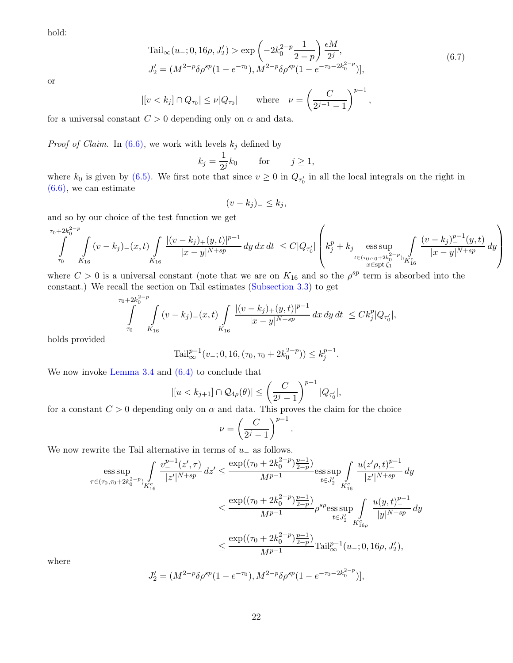hold:

<span id="page-21-0"></span>
$$
\text{Tail}_{\infty}(u_{-};0,16\rho,J'_{2}) > \exp\left(-2k_{0}^{2-p}\frac{1}{2-p}\right)\frac{\epsilon M}{2^{j}},\\ J'_{2} = (M^{2-p}\delta\rho^{sp}(1-e^{-\tau_{0}}),M^{2-p}\delta\rho^{sp}(1-e^{-\tau_{0}-2k_{0}^{2-p}})],\tag{6.7}
$$

or

$$
|[v < k_j] \cap Q_{\tau_0}| \le \nu |Q_{\tau_0}| \quad \text{where} \quad \nu = \left(\frac{C}{2^{j-1}-1}\right)^{p-1},
$$

for a universal constant  $C > 0$  depending only on  $\alpha$  and data.

*Proof of Claim.* In [\(6.6\),](#page-20-1) we work with levels  $k_j$  defined by

$$
k_j = \frac{1}{2^j} k_0 \quad \text{for} \quad j \ge 1,
$$

where  $k_0$  is given by [\(6.5\).](#page-20-2) We first note that since  $v \ge 0$  in  $Q_{\tau_0'}$  in all the local integrals on the right in [\(6.6\),](#page-20-1) we can estimate

$$
(v-k_j)_{-} \leq k_j,
$$

and so by our choice of the test function we get

$$
\int\limits_{\tau_0}^{\tau_0+2k_0^{2-p}}\int\limits_{K_{16}}(v-k_j)_-(x,t)\int\limits_{K_{16}}\frac{|(v-k_j)_+(y,t)|^{p-1}}{|x-y|^{N+sp}}\,dy\,dx\,dt\,\leq C|Q_{\tau_0'}|\left(k_j^p+k_j\mathop{\mathrm{ess\,sup}}_{\substack{t\in (\tau_0,\tau_0+2k_0^{2-p});\\ x\in\operatorname{spt}\zeta_1}}\int\limits_{K_{16}^c}\frac{(v-k_j)_-^{p-1}(y,t)}{|x-y|^{N+sp}}\,dy\right)
$$

where  $C > 0$  is a universal constant (note that we are on  $K_{16}$  and so the  $\rho^{sp}$  term is absorbed into the constant.) We recall the section on Tail estimates [\(Subsection 3.3\)](#page-9-0) to get

$$
\int_{\tau_0}^{\tau_0+2k_0^{2-p}} \int_{K_{16}} (v-k_j)_{-}(x,t) \int_{K_{16}} \frac{|(v-k_j)_{+}(y,t)|^{p-1}}{|x-y|^{N+sp}} dx dy dt \leq C k_j^p |Q_{\tau'_0}|,
$$

holds provided

$$
\mathrm{Tail}_{\infty}^{p-1}(v_{-}; 0, 16, (\tau_0, \tau_0 + 2k_0^{2-p})) \le k_j^{p-1}.
$$

We now invoke [Lemma 3.4](#page-8-3) and [\(6.4\)](#page-20-0) to conclude that

$$
|[u < k_{j+1}] \cap \mathcal{Q}_{4\rho}(\theta)| \le \left(\frac{C}{2^j - 1}\right)^{p-1} |Q_{\tau'_0}|,
$$

for a constant  $C > 0$  depending only on  $\alpha$  and data. This proves the claim for the choice

$$
\nu = \left(\frac{C}{2^j - 1}\right)^{p-1}
$$

.

We now rewrite the Tail alternative in terms of  $u_-\$  as follows.

$$
\begin{aligned} \mathop{\mathrm{ess\, sup}}_{\tau \in (\tau_0, \tau_0 + 2k_0^{2-p})} & \int\limits_{K_{16}^c}{ \frac{v_-^{p-1}(z',\tau)}{|z'|^{N+sp}}\, dz' } \leq \frac{\exp((\tau_0 + 2k_0^{2-p})\frac{p-1}{2-p})}{M^{p-1}} \mathop{\mathrm{ess\, sup}}_{t \in J_2'} \int\limits_{K_{16}^c}{ \frac{u(z'\rho,t)_-^{p-1}}{|z'|^{N+sp}}\, dy} \\ & \leq \frac{\exp((\tau_0 + 2k_0^{2-p})\frac{p-1}{2-p})}{M^{p-1}} \rho^{sp} \mathop{\mathrm{ess\, sup}}_{t \in J_2'} \int\limits_{K_{16\rho}^c}{ \frac{u(y,t)_-^{p-1}}{|y|^{N+sp}}\, dy} \\ & \leq \frac{\exp((\tau_0 + 2k_0^{2-p})\frac{p-1}{2-p})}{M^{p-1}}\mathrm{Tail}_\infty^{p-1}(u_-;0,16\rho,J_2'), \end{aligned}
$$

where

$$
J_2' = (M^{2-p} \delta \rho^{sp} (1 - e^{-\tau_0}), M^{2-p} \delta \rho^{sp} (1 - e^{-\tau_0 - 2k_0^{2-p}})],
$$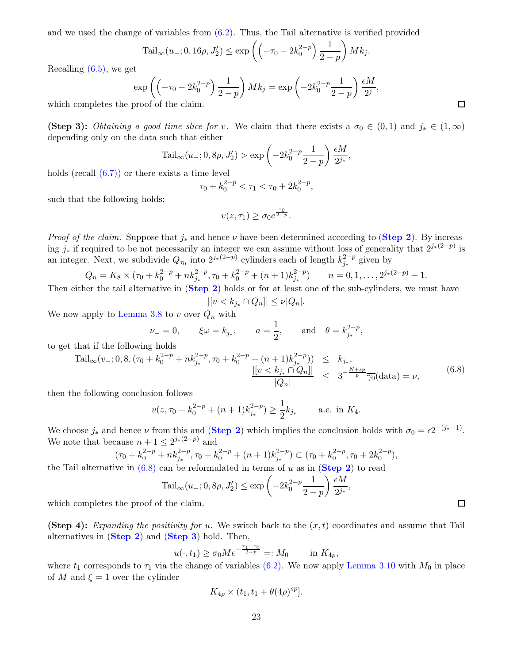and we used the change of variables from  $(6.2)$ . Thus, the Tail alternative is verified provided

$$
\mathrm{Tail}_{\infty}(u_{-}; 0, 16\rho, J_2') \le \exp\left(\left(-\tau_0 - 2k_0^{2-p}\right) \frac{1}{2-p}\right)Mk_j.
$$

Recalling [\(6.5\),](#page-20-2) we get

$$
\exp\left(\left(-\tau_0 - 2k_0^{2-p}\right)\frac{1}{2-p}\right)Mk_j = \exp\left(-2k_0^{2-p}\frac{1}{2-p}\right)\frac{\epsilon M}{2^j},
$$
  
proof of the claim

which completes the proof of the claim.

(Step 3): Obtaining a good time slice for v. We claim that there exists a  $\sigma_0 \in (0,1)$  and  $j_* \in (1,\infty)$ depending only on the data such that either

$$
Tail_{\infty}(u_{-}; 0, 8\rho, J'_{2}) > \exp\left(-2k_{0}^{2-p}\frac{1}{2-p}\right)\frac{\epsilon M}{2^{j_{*}}},
$$

holds (recall [\(6.7\)\)](#page-21-0) or there exists a time level

$$
\tau_0 + k_0^{2-p} < \tau_1 < \tau_0 + 2k_0^{2-p},
$$

such that the following holds:

$$
v(z,\tau_1) \geq \sigma_0 e^{\frac{\tau_0}{2-p}}.
$$

*Proof of the claim.* Suppose that  $j_*$  and hence  $\nu$  have been determined according to (**[Step 2](#page-20-1)**). By increasing  $j_*$  if required to be not necessarily an integer we can assume without loss of generality that  $2^{j_*(2-p)}$  is an integer. Next, we subdivide  $Q_{\tau_0}$  into  $2^{j_*(2-p)}$  cylinders each of length  $k_{j_*}^{2-p}$  $j_*^{2-p}$  given by

$$
Q_n = K_8 \times (\tau_0 + k_0^{2-p} + nk_{j_*}^{2-p}, \tau_0 + k_0^{2-p} + (n+1)k_{j_*}^{2-p}) \qquad n = 0, 1, \dots, 2^{j_*(2-p)} - 1.
$$

Then either the tail alternative in ([Step 2](#page-20-1)) holds or for at least one of the sub-cylinders, we must have  $|[v < k_{j_*} \cap Q_n]| \leq \nu |Q_n|.$ 

We now apply to [Lemma 3.8](#page-10-2) to  $v$  over  $Q_n$  with

$$
\nu_{-} = 0,
$$
\n $\xi \omega = k_{j_*},$ \n $a = \frac{1}{2},$ \nand\n $\theta = k_{j_*}^{2-p},$ 

to get that if the following holds

<span id="page-22-0"></span>
$$
\mathrm{Tail}_{\infty}(v_{-};0,8,(\tau_{0}+k_{0}^{2-p}+nk_{j_{*}}^{2-p},\tau_{0}+k_{0}^{2-p}+(n+1)k_{j_{*}}^{2-p})) \leq k_{j_{*}},
$$
\n
$$
\frac{|[v < k_{j_{*}} \cap Q_{n}]|}{|Q_{n}|} \leq 3^{-\frac{N+sp}{p}} \frac{\gamma_{0}}{\gamma_{0}}(\mathrm{data})=\nu,
$$
\n(6.8)

then the following conclusion follows

$$
v(z, \tau_0 + k_0^{2-p} + (n+1)k_{j_*}^{2-p}) \ge \frac{1}{2}k_{j_*}
$$
 a.e. in  $K_4$ .

We choose  $j_*$  and hence  $\nu$  from this and (**[Step 2](#page-20-1)**) which implies the conclusion holds with  $\sigma_0 = \epsilon 2^{-(j_*+1)}$ . We note that because  $n + 1 \leq 2^{j*(2-p)}$  and

$$
(\tau_0 + k_0^{2-p} + nk_{j_*}^{2-p}, \tau_0 + k_0^{2-p} + (n+1)k_{j_*}^{2-p}) \subset (\tau_0 + k_0^{2-p}, \tau_0 + 2k_0^{2-p}),
$$
  
we in (6.8) can be reformulated in terms of *u* as in (Ston 2) to need

the Tail alternative in  $(6.8)$  can be reformulated in terms of u as in  $(\text{Step 2})$  $(\text{Step 2})$  $(\text{Step 2})$  to read

$$
\mathrm{Tail}_{\infty}(u_{-}; 0, 8\rho, J_2') \le \exp\left(-2k_0^{2-p}\frac{1}{2-p}\right)\frac{\epsilon M}{2^{j_*}},
$$

which completes the proof of the claim.

(Step 4): Expanding the positivity for u. We switch back to the  $(x, t)$  coordinates and assume that Tail alternatives in (Step 2) and ([Step 3](#page-21-0)) hold. Then,

$$
u(\cdot, t_1) \ge \sigma_0 M e^{-\frac{\tau_1 - \tau_0}{2 - p}} =: M_0
$$
 in  $K_{4\rho}$ ,

where  $t_1$  corresponds to  $\tau_1$  via the change of variables [\(6.2\).](#page-19-3) We now apply [Lemma 3.10](#page-12-5) with  $M_0$  in place of M and  $\xi = 1$  over the cylinder

$$
K_{4\rho} \times (t_1, t_1 + \theta(4\rho)^{sp}).
$$

 $\Box$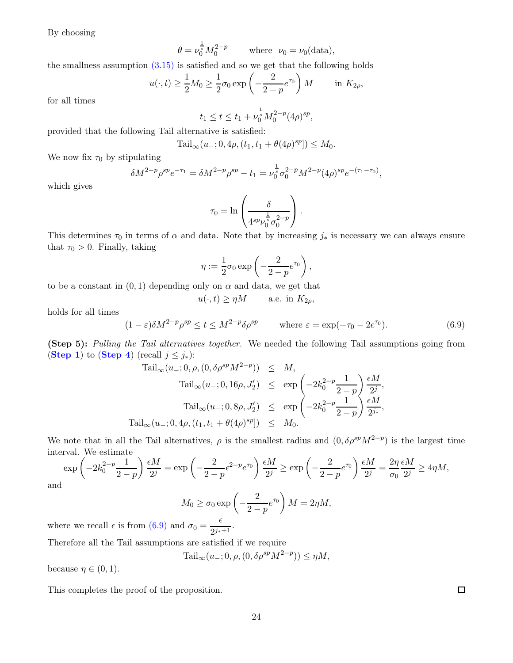By choosing

$$
\theta = \nu_0^{\frac{1}{s}} M_0^{2-p} \qquad \text{where} \ \nu_0 = \nu_0(\text{data}),
$$

the smallness assumption [\(3.15\)](#page-12-3) is satisfied and so we get that the following holds

$$
u(\cdot,t) \ge \frac{1}{2}M_0 \ge \frac{1}{2}\sigma_0 \exp\left(-\frac{2}{2-p}e^{\tau_0}\right)M \quad \text{in } K_{2\rho},
$$

for all times

$$
t_1 \le t \le t_1 + \nu_0^{\frac{1}{s}} M_0^{2-p} (4\rho)^{sp},
$$

provided that the following Tail alternative is satisfied:

$$
Tail_{\infty}(u_{-}; 0, 4\rho, (t_1, t_1 + \theta(4\rho)^{sp}]) \leq M_0.
$$

We now fix  $\tau_0$  by stipulating

$$
\delta M^{2-p} \rho^{sp} e^{-\tau_1} = \delta M^{2-p} \rho^{sp} - t_1 = \nu_0^{\frac{1}{s}} \sigma_0^{2-p} M^{2-p} (4\rho)^{sp} e^{-(\tau_1 - \tau_0)},
$$

which gives

$$
\tau_0 = \ln \left( \frac{\delta}{4^{sp} \nu_0^{\frac{1}{s}} \sigma_0^{2-p}} \right).
$$

This determines  $\tau_0$  in terms of  $\alpha$  and data. Note that by increasing  $j_*$  is necessary we can always ensure that  $\tau_0 > 0$ . Finally, taking

$$
\eta := \frac{1}{2}\sigma_0 \exp\left(-\frac{2}{2-p}e^{\tau_0}\right),\,
$$

to be a constant in  $(0, 1)$  depending only on  $\alpha$  and data, we get that

$$
u(\cdot, t) \ge \eta M
$$
 a.e. in  $K_{2\rho}$ ,

holds for all times

<span id="page-23-0"></span>
$$
(1 - \varepsilon)\delta M^{2-p} \rho^{sp} \le t \le M^{2-p} \delta \rho^{sp} \qquad \text{where } \varepsilon = \exp(-\tau_0 - 2e^{\tau_0}). \tag{6.9}
$$

(Step 5): Pulling the Tail alternatives together. We needed the following Tail assumptions going from ([Step 1](#page-19-4)) to ([Step 4](#page-22-0)) (recall  $j \leq j_*$ ):

$$
\operatorname{Tail}_{\infty}(u_{-}; 0, \rho, (0, \delta \rho^{sp} M^{2-p})) \leq M,
$$
  
\n
$$
\operatorname{Tail}_{\infty}(u_{-}; 0, 16\rho, J_2') \leq \exp\left(-2k_0^{2-p} \frac{1}{2-p}\right) \frac{\epsilon M}{2^j},
$$
  
\n
$$
\operatorname{Tail}_{\infty}(u_{-}; 0, 8\rho, J_2') \leq \exp\left(-2k_0^{2-p} \frac{1}{2-p}\right) \frac{\epsilon M}{2^{j_*}},
$$
  
\n
$$
\operatorname{Tail}_{\infty}(u_{-}; 0, 4\rho, (t_1, t_1 + \theta(4\rho)^{sp})) \leq M_0.
$$

We note that in all the Tail alternatives,  $\rho$  is the smallest radius and  $(0, \delta \rho^{sp} M^{2-p})$  is the largest time interval. We estimate

$$
\exp\left(-2k_0^{2-p}\frac{1}{2-p}\right)\frac{\epsilon M}{2^j} = \exp\left(-\frac{2}{2-p}\epsilon^{2-p}e^{\tau_0}\right)\frac{\epsilon M}{2^j} \ge \exp\left(-\frac{2}{2-p}\epsilon^{\tau_0}\right)\frac{\epsilon M}{2^j} = \frac{2\eta}{\sigma_0}\frac{\epsilon M}{2^j} \ge 4\eta M,
$$

and

$$
M_0 \ge \sigma_0 \exp\left(-\frac{2}{2-p}e^{\tau_0}\right)M = 2\eta M,
$$

where we recall  $\epsilon$  is from [\(6.9\)](#page-23-0) and  $\sigma_0 = \frac{\epsilon}{2i\pi r}$  $\frac{c}{2^{j_*+1}}$ .

Therefore all the Tail assumptions are satisfied if we require

$$
\mathrm{Tail}_{\infty}(u_{-}; 0, \rho, (0, \delta \rho^{sp} M^{2-p})) \le \eta M,
$$

because  $\eta \in (0,1)$ .

This completes the proof of the proposition.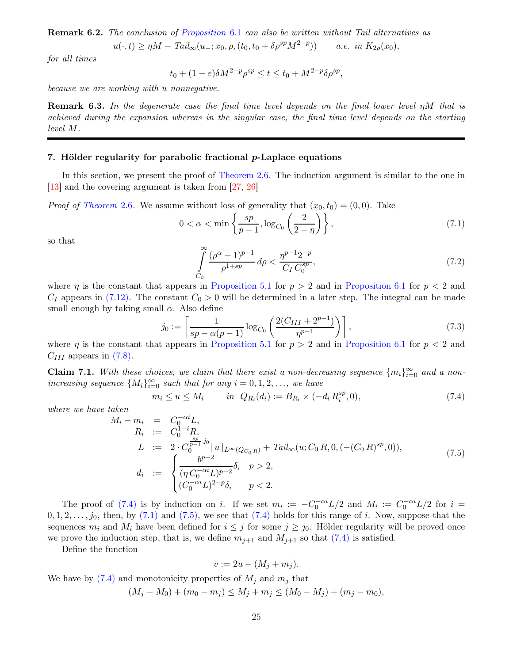<span id="page-24-6"></span>Remark 6.2. The conclusion of [Proposition](#page-19-4) 6.1 can also be written without Tail alternatives as

$$
u(\cdot,t) \ge \eta M - \operatorname{Tail}_{\infty}(u_{-};x_0,\rho,(t_0,t_0+\delta \rho^{sp} M^{2-p})) \qquad a.e. \text{ in } K_{2\rho}(x_0),
$$

for all times

$$
t_0 + (1 - \varepsilon)\delta M^{2-p} \rho^{sp} \le t \le t_0 + M^{2-p} \delta \rho^{sp},
$$

because we are working with u nonnegative.

**Remark 6.3.** In the degenerate case the final time level depends on the final lower level  $\eta M$  that is achieved during the expansion whereas in the singular case, the final time level depends on the starting level M.

# <span id="page-24-0"></span>7. Hölder regularity for parabolic fractional p-Laplace equations

In this section, we present the proof of [Theorem 2.6.](#page-4-6) The induction argument is similar to the one in [\[13](#page-28-4)] and the covering argument is taken from [\[27,](#page-29-13) [26](#page-29-14)]

*Proof of [Theorem](#page-4-6)* 2.6. We assume without loss of generality that  $(x_0, t_0) = (0, 0)$ . Take

$$
0 < \alpha < \min\left\{\frac{sp}{p-1}, \log_{C_0}\left(\frac{2}{2-\eta}\right)\right\},\tag{7.1}
$$

so that

<span id="page-24-5"></span><span id="page-24-4"></span><span id="page-24-2"></span>
$$
\int_{C_0}^{\infty} \frac{(\rho^{\alpha} - 1)^{p-1}}{\rho^{1+sp}} d\rho < \frac{\eta^{p-1} 2^{-p}}{C_I C_0^{sp}},\tag{7.2}
$$

where  $\eta$  is the constant that appears in [Proposition 5.1](#page-14-1) for  $p > 2$  and in [Proposition 6.1](#page-19-4) for  $p < 2$  and  $C_I$  appears in [\(7.12\).](#page-26-0) The constant  $C_0 > 0$  will be determined in a later step. The integral can be made small enough by taking small  $\alpha$ . Also define

$$
j_0 := \left[ \frac{1}{sp - \alpha(p-1)} \log_{C_0} \left( \frac{2(C_{III} + 2^{p-1})}{\eta^{p-1}} \right) \right],\tag{7.3}
$$

where  $\eta$  is the constant that appears in [Proposition 5.1](#page-14-1) for  $p > 2$  and in [Proposition 6.1](#page-19-4) for  $p < 2$  and  $C_{III}$  appears in [\(7.8\).](#page-25-0)

**Claim 7.1.** With these choices, we claim that there exist a non-decreasing sequence  $\{m_i\}_{i=0}^{\infty}$  and a nonincreasing sequence  $\{M_i\}_{i=0}^{\infty}$  such that for any  $i = 0, 1, 2, \ldots$ , we have

<span id="page-24-1"></span>
$$
m_i \le u \le M_i \qquad in \ \ Q_{R_i}(d_i) := B_{R_i} \times (-d_i \, R_i^{sp}, 0), \tag{7.4}
$$

where we have taken

<span id="page-24-3"></span>
$$
M_i - m_i = C_0^{-\alpha i} L,
$$
  
\n
$$
R_i := C_0^{1-i} R,
$$
  
\n
$$
L := 2 \cdot C_0^{\frac{sp}{p-1} j_0} ||u||_{L^{\infty}(Q_{C_0 R})} + Tail_{\infty}(u; C_0 R, 0, (- (C_0 R)^{sp}, 0)),
$$
  
\n
$$
d_i := \begin{cases} \frac{b^{p-2}}{(\eta C_0^{-\alpha i} L)^{p-2}} \delta, & p > 2, \\ (C_0^{-\alpha i} L)^{2-p} \delta, & p < 2. \end{cases}
$$
\n(7.5)

The proof of [\(7.4\)](#page-24-1) is by induction on i. If we set  $m_i := -C_0^{-\alpha i} L/2$  and  $M_i := C_0^{-\alpha i} L/2$  for  $i =$  $0, 1, 2, \ldots, j_0$ , then, by [\(7.1\)](#page-24-2) and [\(7.5\),](#page-24-3) we see that [\(7.4\)](#page-24-1) holds for this range of i. Now, suppose that the sequences  $m_i$  and  $M_i$  have been defined for  $i \leq j$  for some  $j \geq j_0$ . Hölder regularity will be proved once we prove the induction step, that is, we define  $m_{j+1}$  and  $M_{j+1}$  so that [\(7.4\)](#page-24-1) is satisfied.

Define the function

$$
v := 2u - (M_j + m_j).
$$

We have by  $(7.4)$  and monotonicity properties of  $M_i$  and  $m_i$  that

$$
(M_j - M_0) + (m_0 - m_j) \le M_j + m_j \le (M_0 - M_j) + (m_j - m_0),
$$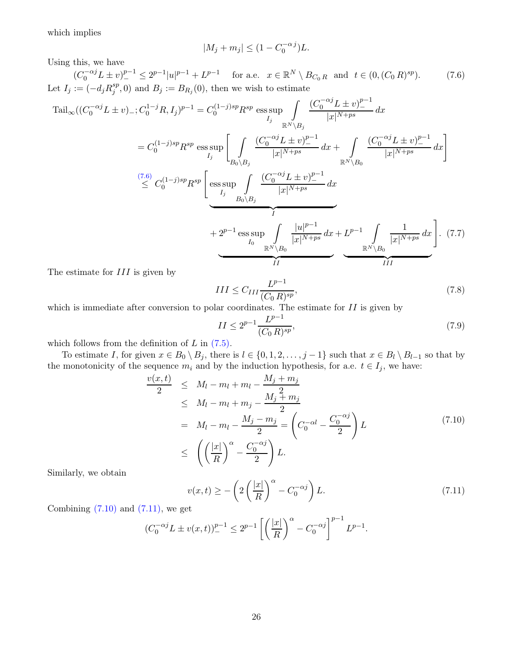which implies

<span id="page-25-1"></span>
$$
|M_j + m_j| \le (1 - C_0^{-\alpha j})L.
$$

Using this, we have

 $(C_0^{-\alpha j} L \pm v)^{p-1} \leq 2^{p-1} |u|^{p-1} + L^{p-1}$  for a.e.  $x \in \mathbb{R}^N \setminus B_{C_0 R}$  and  $t \in (0, (C_0 R))$  $(7.6)$ Let  $I_j := (-d_j R_j^{sp})$  $j^{sp},0$  and  $B_j := B_{R_j}(0)$ , then we wish to estimate

$$
\text{Tail}_{\infty}((C_{0}^{-\alpha j}L \pm v)_{-}; C_{0}^{1-j}R, I_{j})^{p-1} = C_{0}^{(1-j)sp}R^{sp} \operatorname*{ess\,sup}_{I_{j}} \int \frac{(C_{0}^{-\alpha j}L \pm v)^{p-1}}{|x|^{N+ps}} dx
$$
\n
$$
= C_{0}^{(1-j)sp}R^{sp} \operatorname*{ess\,sup}_{I_{j}} \left[ \int \frac{(C_{0}^{-\alpha j}L \pm v)^{p-1}}{|x|^{N+ps}} dx + \int \frac{(C_{0}^{-\alpha j}L \pm v)^{p-1}}{|x|^{N+ps}} dx \right]
$$
\n
$$
\stackrel{(7.6)}{\leq} C_{0}^{(1-j)sp}R^{sp} \left[ \operatorname*{ess\,sup}_{I_{j}} \int \frac{(C_{0}^{-\alpha j}L \pm v)^{p-1}}{|x|^{N+ps}} dx \right]
$$
\n
$$
+ 2^{p-1} \operatorname*{ess\,sup}_{I_{0}} \int \frac{(C_{0}^{-\alpha j}L \pm v)^{p-1}}{|x|^{N+ps}} dx + L^{p-1} \int \frac{1}{|x|^{N+ps}} dx \right]. \tag{7.7}
$$
\nThe estimate for *III* is given by:

\n
$$
\underbrace{\frac{|u|^{p-1}}{|x|^{N}}|_{I_{0}} \frac{|u|^{p-1}}{|x|^{N+ps}} dx}_{II} + L^{p-1} \int \frac{1}{|x|^{N+ps}} dx \right]. \tag{7.7}
$$

The estimate for  $III$  is given by

<span id="page-25-5"></span>
$$
III \le C_{III} \frac{L^{p-1}}{(C_0 R)^{sp}},\tag{7.8}
$$

which is immediate after conversion to polar coordinates. The estimate for  $II$  is given by

<span id="page-25-4"></span><span id="page-25-0"></span>
$$
II \le 2^{p-1} \frac{L^{p-1}}{(C_0 R)^{sp}},\tag{7.9}
$$

which follows from the definition of  $L$  in  $(7.5)$ .

To estimate I, for given  $x \in B_0 \setminus B_j$ , there is  $l \in \{0, 1, 2, \ldots, j-1\}$  such that  $x \in B_l \setminus B_{l-1}$  so that by the monotonicity of the sequence  $m_i$  and by the induction hypothesis, for a.e.  $t \in I_j$ , we have:

<span id="page-25-2"></span>
$$
\frac{v(x,t)}{2} \leq M_l - m_l + m_l - \frac{M_j + m_j}{2}
$$
\n
$$
\leq M_l - m_l + m_j - \frac{M_j + m_j}{2}
$$
\n
$$
= M_l - m_l - \frac{M_j - m_j}{2} = \left(C_0^{-\alpha l} - \frac{C_0^{-\alpha j}}{2}\right)L
$$
\n
$$
\leq \left(\left(\frac{|x|}{R}\right)^{\alpha} - \frac{C_0^{-\alpha j}}{2}\right)L.
$$
\n(7.10)

Similarly, we obtain

<span id="page-25-3"></span>
$$
v(x,t) \ge -\left(2\left(\frac{|x|}{R}\right)^{\alpha} - C_0^{-\alpha j}\right)L.
$$
\n(7.11)

Combining  $(7.10)$  and  $(7.11)$ , we get

$$
(C_0^{-\alpha j} L \pm v(x,t))_{-}^{p-1} \le 2^{p-1} \left[ \left( \frac{|x|}{R} \right)^{\alpha} - C_0^{-\alpha j} \right]^{p-1} L^{p-1}.
$$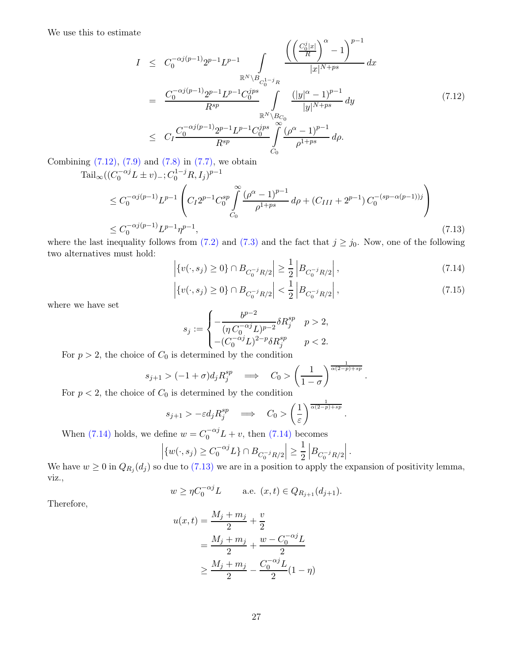We use this to estimate

<span id="page-26-0"></span>
$$
I \leq C_0^{-\alpha j(p-1)} 2^{p-1} L^{p-1} \int_{\mathbb{R}^N \backslash B_{C_0^{1-j}R}} \frac{\left( \left( \frac{C_0^j |x|}{R} \right)^{\alpha} - 1 \right)^{p-1}}{|x|^{N+ps}} dx
$$
  

$$
= \frac{C_0^{-\alpha j(p-1)} 2^{p-1} L^{p-1} C_0^{jps}}{R^{sp}} \int_{\mathbb{R}^N \backslash B_{C_0}} \frac{(|y|^{\alpha} - 1)^{p-1}}{|y|^{N+ps}} dy
$$
  

$$
\leq C_I \frac{C_0^{-\alpha j(p-1)} 2^{p-1} L^{p-1} C_0^{jps}}{R^{sp}} \int_{C_0}^{\infty} \frac{(\rho^{\alpha} - 1)^{p-1}}{\rho^{1+ps}} d\rho.
$$
 (7.12)

Combining  $(7.12)$ ,  $(7.9)$  and  $(7.8)$  in  $(7.7)$ , we obtain

$$
\operatorname{Tail}_{\infty}((C_0^{-\alpha j} L \pm v)_-; C_0^{1-j} R, I_j)^{p-1}
$$
\n
$$
\leq C_0^{-\alpha j(p-1)} L^{p-1} \left( C_1 2^{p-1} C_0^{sp} \int_{C_0}^{\infty} \frac{(\rho^{\alpha} - 1)^{p-1}}{\rho^{1+ps}} d\rho + (C_{III} + 2^{p-1}) C_0^{-(sp-\alpha(p-1))j} \right)
$$
\n
$$
\leq C_0^{-\alpha j(p-1)} L^{p-1} \eta^{p-1}, \tag{7.13}
$$

where the last inequality follows from [\(7.2\)](#page-24-4) and [\(7.3\)](#page-24-5) and the fact that  $j \ge j_0$ . Now, one of the following two alternatives must hold:

$$
\left| \{ v(\cdot, s_j) \ge 0 \} \cap B_{C_0^{-j} R/2} \right| \ge \frac{1}{2} \left| B_{C_0^{-j} R/2} \right|,
$$
\n(7.14)

$$
\left| \{ v(\cdot, s_j) \ge 0 \} \cap B_{C_0^{-j} R/2} \right| < \frac{1}{2} \left| B_{C_0^{-j} R/2} \right|,\tag{7.15}
$$

<span id="page-26-3"></span><span id="page-26-2"></span><span id="page-26-1"></span>.

.

where we have set

$$
s_j := \begin{cases} -\frac{b^{p-2}}{(\eta C_0^{-\alpha j} L)^{p-2}} \delta R_j^{sp} & p > 2, \\ - (C_0^{-\alpha j} L)^{2-p} \delta R_j^{sp} & p < 2. \end{cases}
$$

For  $p > 2$ , the choice of  $C_0$  is determined by the condition

$$
s_{j+1} > (-1+\sigma)d_j R_j^{sp} \implies C_0 > \left(\frac{1}{1-\sigma}\right)^{\frac{1}{\alpha(2-p)+sp}}
$$

For  $p < 2$ , the choice of  $C_0$  is determined by the condition

$$
s_{j+1} > -\varepsilon d_j R_j^{sp} \implies C_0 > \left(\frac{1}{\varepsilon}\right)^{\frac{1}{\alpha(2-p)+sp}}
$$

When [\(7.14\)](#page-26-1) holds, we define  $w = C_0^{-\alpha j} L + v$ , then (7.14) becomes

$$
\left| \{ w(\cdot,s_j) \geq C_0^{-\alpha j} L \} \cap B_{C_0^{-j}R/2} \right| \geq \frac{1}{2} \left| B_{C_0^{-j}R/2} \right|.
$$

We have  $w \ge 0$  in  $Q_{R_j}(d_j)$  so due to [\(7.13\)](#page-26-2) we are in a position to apply the expansion of positivity lemma, viz.,

$$
w \geq \eta C_0^{-\alpha j} L
$$
 a.e.  $(x, t) \in Q_{R_{j+1}}(d_{j+1}).$ 

Therefore,

$$
u(x,t) = \frac{M_j + m_j}{2} + \frac{v}{2}
$$
  
= 
$$
\frac{M_j + m_j}{2} + \frac{w - C_0^{-\alpha j}L}{2}
$$
  

$$
\ge \frac{M_j + m_j}{2} - \frac{C_0^{-\alpha j}L}{2}(1 - \eta)
$$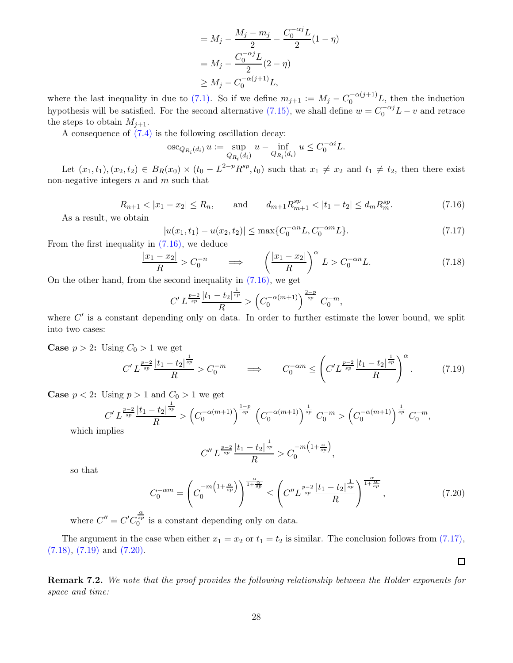$$
= M_j - \frac{M_j - m_j}{2} - \frac{C_0^{-\alpha j} L}{2} (1 - \eta)
$$
  
=  $M_j - \frac{C_0^{-\alpha j} L}{2} (2 - \eta)$   
 $\ge M_j - C_0^{-\alpha (j+1)} L,$ 

where the last inequality in due to [\(7.1\).](#page-24-2) So if we define  $m_{j+1} := M_j - C_0^{-\alpha(j+1)} L$ , then the induction hypothesis will be satisfied. For the second alternative [\(7.15\),](#page-26-3) we shall define  $w = C_0^{-\alpha j}L - v$  and retrace the steps to obtain  $M_{i+1}$ .

A consequence of [\(7.4\)](#page-24-1) is the following oscillation decay:

$$
\operatorname{osc}_{Q_{R_i}(d_i)} u := \sup_{Q_{R_i}(d_i)} u - \inf_{Q_{R_i}(d_i)} u \le C_0^{-\alpha i} L.
$$

Let  $(x_1, t_1), (x_2, t_2) \in B_R(x_0) \times (t_0 - L^{2-p} R^{sp}, t_0)$  such that  $x_1 \neq x_2$  and  $t_1 \neq t_2$ , then there exist non-negative integers  $n$  and  $m$  such that

$$
R_{n+1} < |x_1 - x_2| \le R_n, \qquad \text{and} \qquad d_{m+1} R_{m+1}^{sp} < |t_1 - t_2| \le d_m R_m^{sp}.\tag{7.16}
$$

As a result, we obtain

<span id="page-27-1"></span><span id="page-27-0"></span>
$$
|u(x_1, t_1) - u(x_2, t_2)| \le \max\{C_0^{-\alpha n} L, C_0^{-\alpha m} L\}.
$$
\n(7.17)

From the first inequality in [\(7.16\),](#page-27-0) we deduce

$$
\frac{|x_1 - x_2|}{R} > C_0^{-n} \qquad \Longrightarrow \qquad \left(\frac{|x_1 - x_2|}{R}\right)^{\alpha} L > C_0^{-\alpha n} L. \tag{7.18}
$$

On the other hand, from the second inequality in [\(7.16\),](#page-27-0) we get

<span id="page-27-2"></span>
$$
C'L^{\frac{p-2}{sp}}\frac{|t_1-t_2|^{\frac{1}{sp}}}{R} > \left(C_0^{-\alpha(m+1)}\right)^{\frac{2-p}{sp}} C_0^{-m},
$$

where  $C'$  is a constant depending only on data. In order to further estimate the lower bound, we split into two cases:

**Case**  $p > 2$ : Using  $C_0 > 1$  we get

$$
C' L^{\frac{p-2}{sp}} \frac{|t_1 - t_2|^{\frac{1}{sp}}}{R} > C_0^{-m} \qquad \Longrightarrow \qquad C_0^{-\alpha m} \le \left( C' L^{\frac{p-2}{sp}} \frac{|t_1 - t_2|^{\frac{1}{sp}}}{R} \right)^{\alpha}.
$$
 (7.19)

**Case**  $p < 2$ : Using  $p > 1$  and  $C_0 > 1$  we get

$$
C'L^{\frac{p-2}{sp}}\frac{|t_1-t_2|^{\frac{1}{sp}}}{R} > \left(C_0^{-\alpha(m+1)}\right)^{\frac{1-p}{sp}} \left(C_0^{-\alpha(m+1)}\right)^{\frac{1}{sp}} C_0^{-m} > \left(C_0^{-\alpha(m+1)}\right)^{\frac{1}{sp}} C_0^{-m},
$$

which imp

$$
C'' L^{\frac{p-2}{sp}} \frac{|t_1 - t_2|^{\frac{1}{sp}}}{R} > C_0^{-m \left(1 + \frac{\alpha}{sp}\right)},
$$

so that

<span id="page-27-4"></span>
$$
C_0^{-\alpha m} = \left(C_0^{-m\left(1+\frac{\alpha}{sp}\right)}\right)^{\frac{\alpha}{1+\frac{\alpha}{sp}}} \le \left(C''L^{\frac{p-2}{sp}}\frac{|t_1-t_2|^{\frac{1}{sp}}}{R}\right)^{\frac{\alpha}{1+\frac{\alpha}{sp}}},\tag{7.20}
$$

<span id="page-27-3"></span> $\Box$ 

where  $C'' = C'C_0^{\frac{\alpha}{sp}}$  is a constant depending only on data.

The argument in the case when either  $x_1 = x_2$  or  $t_1 = t_2$  is similar. The conclusion follows from [\(7.17\),](#page-27-1) [\(7.18\),](#page-27-2) [\(7.19\)](#page-27-3) and [\(7.20\).](#page-27-4)

Remark 7.2. We note that the proof provides the following relationship between the Holder exponents for space and time: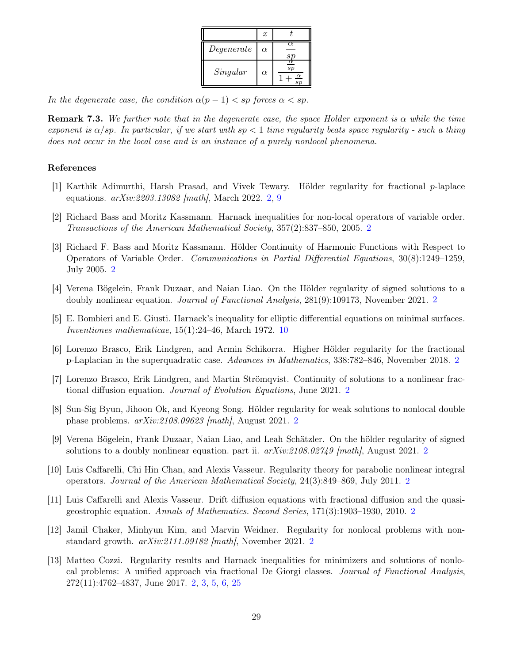|            | $\boldsymbol{x}$ |  |
|------------|------------------|--|
| Degenerate | $\alpha$         |  |
| Singular   | $\alpha$         |  |

<span id="page-28-6"></span>In the degenerate case, the condition  $\alpha(p-1) < sp$  forces  $\alpha < sp$ .

**Remark 7.3.** We further note that in the degenerate case, the space Holder exponent is  $\alpha$  while the time exponent is  $\alpha$ /sp. In particular, if we start with sp  $\lt 1$  time regularity beats space regularity - such a thing does not occur in the local case and is an instance of a purely nonlocal phenomena.

# References

- <span id="page-28-5"></span>[1] Karthik Adimurthi, Harsh Prasad, and Vivek Tewary. Hölder regularity for fractional p-laplace equations. arXiv:2203.13082 [math], March 2022. [2,](#page-1-2) [9](#page-8-4)
- <span id="page-28-8"></span>[2] Richard Bass and Moritz Kassmann. Harnack inequalities for non-local operators of variable order. Transactions of the American Mathematical Society, 357(2):837–850, 2005. [2](#page-1-2)
- <span id="page-28-9"></span>[3] Richard F. Bass and Moritz Kassmann. Hölder Continuity of Harmonic Functions with Respect to Operators of Variable Order. Communications in Partial Differential Equations, 30(8):1249–1259, July 2005. [2](#page-1-2)
- <span id="page-28-0"></span>[4] Verena Bögelein, Frank Duzaar, and Naian Liao. On the Hölder regularity of signed solutions to a doubly nonlinear equation. Journal of Functional Analysis, 281(9):109173, November 2021. [2](#page-1-2)
- <span id="page-28-13"></span>[5] E. Bombieri and E. Giusti. Harnack's inequality for elliptic differential equations on minimal surfaces. Inventiones mathematicae,  $15(1):24-46$ , March 1972. [10](#page-9-2)
- <span id="page-28-10"></span>[6] Lorenzo Brasco, Erik Lindgren, and Armin Schikorra. Higher Hölder regularity for the fractional p-Laplacian in the superquadratic case. Advances in Mathematics, 338:782–846, November 2018. [2](#page-1-2)
- <span id="page-28-7"></span>[7] Lorenzo Brasco, Erik Lindgren, and Martin Strömqvist. Continuity of solutions to a nonlinear fractional diffusion equation. Journal of Evolution Equations, June 2021. [2](#page-1-2)
- <span id="page-28-11"></span>[8] Sun-Sig Byun, Jihoon Ok, and Kyeong Song. Hölder regularity for weak solutions to nonlocal double phase problems. arXiv:2108.09623 [math], August 2021. [2](#page-1-2)
- <span id="page-28-1"></span>[9] Verena Bögelein, Frank Duzaar, Naian Liao, and Leah Schätzler. On the hölder regularity of signed solutions to a doubly nonlinear equation. part ii.  $arXiv:2108.02749$  $arXiv:2108.02749$  $arXiv:2108.02749$  [math], August 2021. 2
- <span id="page-28-3"></span>[10] Luis Caffarelli, Chi Hin Chan, and Alexis Vasseur. Regularity theory for parabolic nonlinear integral operators. Journal of the American Mathematical Society, 24(3):849–869, July 2011. [2](#page-1-2)
- <span id="page-28-2"></span>[11] Luis Caffarelli and Alexis Vasseur. Drift diffusion equations with fractional diffusion and the quasigeostrophic equation. Annals of Mathematics. Second Series, 171(3):1903–1930, 2010. [2](#page-1-2)
- <span id="page-28-12"></span>[12] Jamil Chaker, Minhyun Kim, and Marvin Weidner. Regularity for nonlocal problems with nonstandard growth. arXiv:2111.09182 [math], November 2021. [2](#page-1-2)
- <span id="page-28-4"></span>[13] Matteo Cozzi. Regularity results and Harnack inequalities for minimizers and solutions of nonlocal problems: A unified approach via fractional De Giorgi classes. Journal of Functional Analysis, 272(11):4762–4837, June 2017. [2,](#page-1-2) [3,](#page-2-3) [5,](#page-4-7) [6,](#page-5-3) [25](#page-24-6)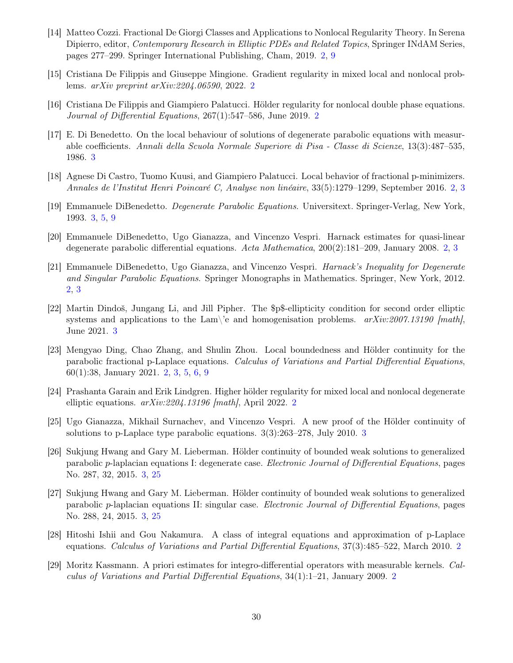- <span id="page-29-3"></span>[14] Matteo Cozzi. Fractional De Giorgi Classes and Applications to Nonlocal Regularity Theory. In Serena Dipierro, editor, *Contemporary Research in Elliptic PDEs and Related Topics*, Springer INdAM Series, pages 277–299. Springer International Publishing, Cham, 2019. [2,](#page-1-2) [9](#page-8-4)
- <span id="page-29-9"></span>[15] Cristiana De Filippis and Giuseppe Mingione. Gradient regularity in mixed local and nonlocal problems. arXiv preprint arXiv:2204.06590, 2022. [2](#page-1-2)
- <span id="page-29-7"></span>[16] Cristiana De Filippis and Giampiero Palatucci. Hölder regularity for nonlocal double phase equations. Journal of Differential Equations, 267(1):547–586, June 2019. [2](#page-1-2)
- <span id="page-29-10"></span>[17] E. Di Benedetto. On the local behaviour of solutions of degenerate parabolic equations with measurable coefficients. Annali della Scuola Normale Superiore di Pisa - Classe di Scienze, 13(3):487–535, 1986. [3](#page-2-3)
- <span id="page-29-2"></span>[18] Agnese Di Castro, Tuomo Kuusi, and Giampiero Palatucci. Local behavior of fractional p-minimizers. Annales de l'Institut Henri Poincaré C, Analyse non linéaire, 33(5):1279–1299, September 2016. [2,](#page-1-2) [3](#page-2-3)
- <span id="page-29-11"></span>[19] Emmanuele DiBenedetto. Degenerate Parabolic Equations. Universitext. Springer-Verlag, New York, 1993. [3,](#page-2-3) [5,](#page-4-7) [9](#page-8-4)
- <span id="page-29-0"></span>[20] Emmanuele DiBenedetto, Ugo Gianazza, and Vincenzo Vespri. Harnack estimates for quasi-linear degenerate parabolic differential equations. Acta Mathematica, 200(2):181–209, January 2008. [2,](#page-1-2) [3](#page-2-3)
- <span id="page-29-1"></span>[21] Emmanuele DiBenedetto, Ugo Gianazza, and Vincenzo Vespri. Harnack's Inequality for Degenerate and Singular Parabolic Equations. Springer Monographs in Mathematics. Springer, New York, 2012. [2,](#page-1-2) [3](#page-2-3)
- <span id="page-29-15"></span>[22] Martin Dindoš, Jungang Li, and Jill Pipher. The \$p\$-ellipticity condition for second order elliptic systems and applications to the Lam $\backslash$ 'e and homogenisation problems.  $arXiv:2007.13190$  [math], June 2021. [3](#page-2-3)
- <span id="page-29-4"></span>[23] Mengyao Ding, Chao Zhang, and Shulin Zhou. Local boundedness and Hölder continuity for the parabolic fractional p-Laplace equations. Calculus of Variations and Partial Differential Equations, 60(1):38, January 2021. [2,](#page-1-2) [3,](#page-2-3) [5,](#page-4-7) [6,](#page-5-3) [9](#page-8-4)
- <span id="page-29-8"></span>[24] Prashanta Garain and Erik Lindgren. Higher hölder regularity for mixed local and nonlocal degenerate elliptic equations.  $arXiv:2204.13196$  $arXiv:2204.13196$  $arXiv:2204.13196$  [math], April 2022. 2
- <span id="page-29-12"></span>[25] Ugo Gianazza, Mikhail Surnachev, and Vincenzo Vespri. A new proof of the Hölder continuity of solutions to p-Laplace type parabolic equations. 3(3):263–278, July 2010. [3](#page-2-3)
- <span id="page-29-14"></span>[26] Sukjung Hwang and Gary M. Lieberman. Hölder continuity of bounded weak solutions to generalized parabolic p-laplacian equations I: degenerate case. Electronic Journal of Differential Equations, pages No. 287, 32, 2015. [3,](#page-2-3) [25](#page-24-6)
- <span id="page-29-13"></span>[27] Sukjung Hwang and Gary M. Lieberman. Hölder continuity of bounded weak solutions to generalized parabolic p-laplacian equations II: singular case. Electronic Journal of Differential Equations, pages No. 288, 24, 2015. [3,](#page-2-3) [25](#page-24-6)
- <span id="page-29-6"></span>[28] Hitoshi Ishii and Gou Nakamura. A class of integral equations and approximation of p-Laplace equations. Calculus of Variations and Partial Differential Equations, 37(3):485–522, March 2010. [2](#page-1-2)
- <span id="page-29-5"></span>[29] Moritz Kassmann. A priori estimates for integro-differential operators with measurable kernels. Calculus of Variations and Partial Differential Equations,  $34(1)$ :1–[2](#page-1-2)1, January 2009. 2